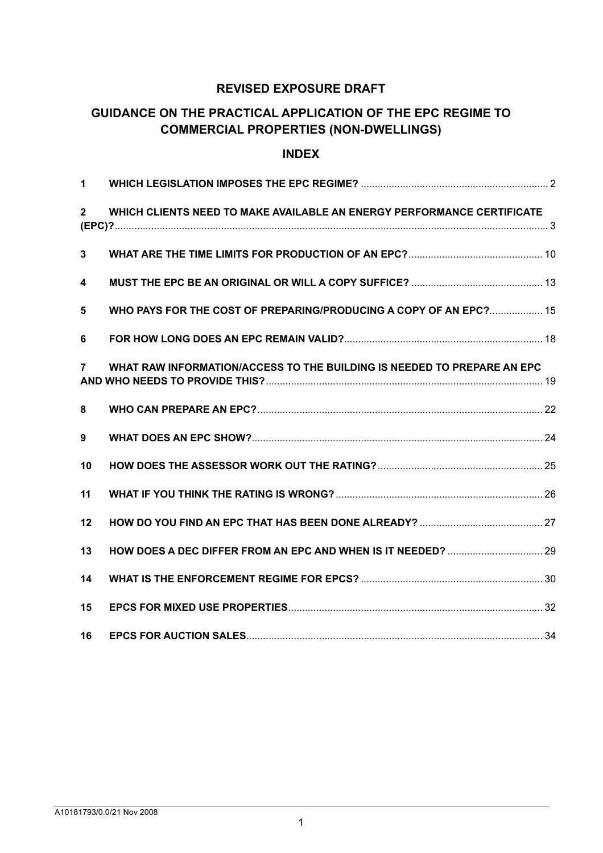# **REVISED EXPOSURE DRAFT**

# **GUIDANCE ON THE PRACTICAL APPLICATION OF THE EPC REGIME TO COMMERCIAL PROPERTIES (NON-DWELLINGS)**

# **INDEX**

| $\mathbf 1$             |                                                                         |  |
|-------------------------|-------------------------------------------------------------------------|--|
| $\overline{2}$          | WHICH CLIENTS NEED TO MAKE AVAILABLE AN ENERGY PERFORMANCE CERTIFICATE  |  |
| $\mathbf{3}$            |                                                                         |  |
| $\overline{\mathbf{4}}$ |                                                                         |  |
| $5\phantom{1}$          | WHO PAYS FOR THE COST OF PREPARING/PRODUCING A COPY OF AN EPC? 15       |  |
| 6                       |                                                                         |  |
| $\overline{7}$          | WHAT RAW INFORMATION/ACCESS TO THE BUILDING IS NEEDED TO PREPARE AN EPC |  |
| 8                       |                                                                         |  |
| 9                       |                                                                         |  |
| 10                      |                                                                         |  |
| 11                      |                                                                         |  |
| 12                      |                                                                         |  |
| 13                      |                                                                         |  |
| 14                      |                                                                         |  |
| 15                      |                                                                         |  |
| 16                      |                                                                         |  |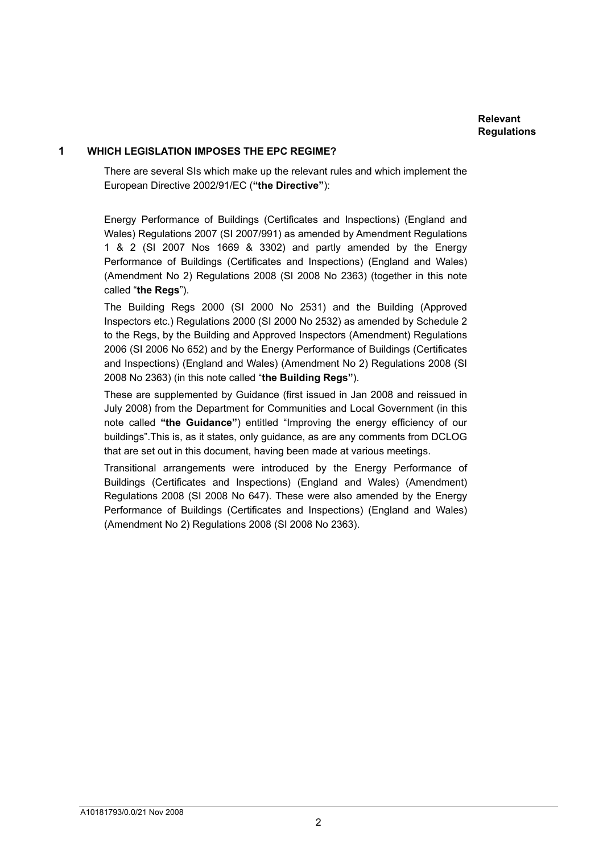## **1 WHICH LEGISLATION IMPOSES THE EPC REGIME?**

 There are several SIs which make up the relevant rules and which implement the European Directive 2002/91/EC (**"the Directive"**):

Energy Performance of Buildings (Certificates and Inspections) (England and Wales) Regulations 2007 (SI 2007/991) as amended by Amendment Regulations 1 & 2 (SI 2007 Nos 1669 & 3302) and partly amended by the Energy Performance of Buildings (Certificates and Inspections) (England and Wales) (Amendment No 2) Regulations 2008 (SI 2008 No 2363) (together in this note called "**the Regs**").

The Building Regs 2000 (SI 2000 No 2531) and the Building (Approved Inspectors etc.) Regulations 2000 (SI 2000 No 2532) as amended by Schedule 2 to the Regs, by the Building and Approved Inspectors (Amendment) Regulations 2006 (SI 2006 No 652) and by the Energy Performance of Buildings (Certificates and Inspections) (England and Wales) (Amendment No 2) Regulations 2008 (SI 2008 No 2363) (in this note called "**the Building Regs"**).

These are supplemented by Guidance (first issued in Jan 2008 and reissued in July 2008) from the Department for Communities and Local Government (in this note called **"the Guidance"**) entitled "Improving the energy efficiency of our buildings".This is, as it states, only guidance, as are any comments from DCLOG that are set out in this document, having been made at various meetings.

Transitional arrangements were introduced by the Energy Performance of Buildings (Certificates and Inspections) (England and Wales) (Amendment) Regulations 2008 (SI 2008 No 647). These were also amended by the Energy Performance of Buildings (Certificates and Inspections) (England and Wales) (Amendment No 2) Regulations 2008 (SI 2008 No 2363).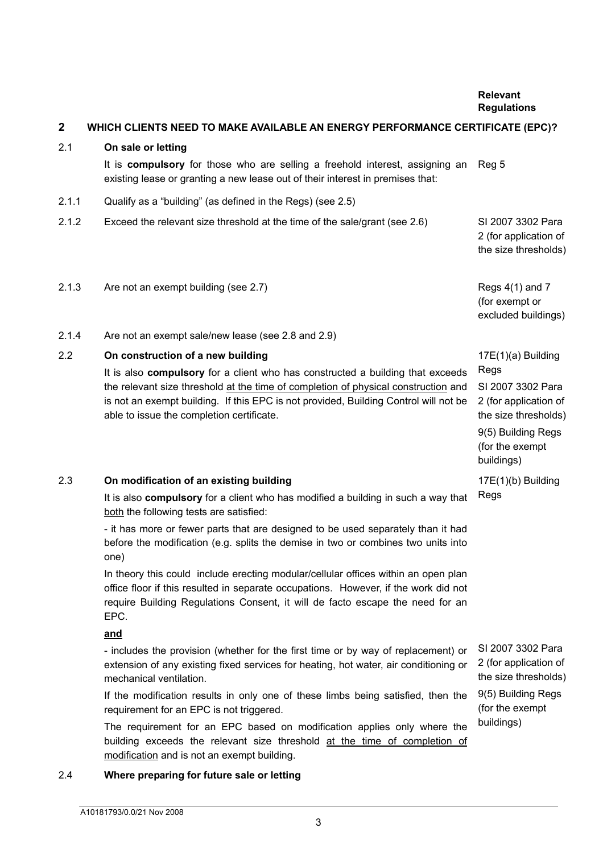3

*Relevant* Relevant *Relevant Relevant* **Regulations** 

#### **2 WHICH CLIENTS NEED TO MAKE AVAILABLE AN ENERGY PERFORMANCE CERTIFICATE (EPC)?** 2.1 **On sale or letting**  It is **compulsory** for those who are selling a freehold interest, assigning an existing lease or granting a new lease out of their interest in premises that: Reg 5 2.1.1 Qualify as a "building" (as defined in the Regs) (see 2.5) 2.1.2 Exceed the relevant size threshold at the time of the sale/grant (see 2.6) SI 2007 3302 Para 2 (for application of the size thresholds) 2.1.3 Are not an exempt building (see 2.7) Change 1.1.3 Regs 4(1) and 7 (for exempt or excluded buildings) 2.1.4 Are not an exempt sale/new lease (see 2.8 and 2.9) 2.2 **On construction of a new building**  It is also **compulsory** for a client who has constructed a building that exceeds the relevant size threshold at the time of completion of physical construction and is not an exempt building. If this EPC is not provided, Building Control will not be able to issue the completion certificate. 17E(1)(a) Building Regs SI 2007 3302 Para 2 (for application of the size thresholds) 9(5) Building Regs (for the exempt buildings) 2.3 **On modification of an existing building**  It is also **compulsory** for a client who has modified a building in such a way that both the following tests are satisfied: - it has more or fewer parts that are designed to be used separately than it had before the modification (e.g. splits the demise in two or combines two units into one) In theory this could include erecting modular/cellular offices within an open plan office floor if this resulted in separate occupations. However, if the work did not require Building Regulations Consent, it will de facto escape the need for an EPC. **and** - includes the provision (whether for the first time or by way of replacement) or extension of any existing fixed services for heating, hot water, air conditioning or mechanical ventilation. If the modification results in only one of these limbs being satisfied, then the requirement for an EPC is not triggered. The requirement for an EPC based on modification applies only where the building exceeds the relevant size threshold at the time of completion of 17E(1)(b) Building Regs SI 2007 3302 Para 2 (for application of the size thresholds) 9(5) Building Regs (for the exempt buildings)

## 2.4 **Where preparing for future sale or letting**

modification and is not an exempt building.

# A10181793/0.0/21 Nov 2008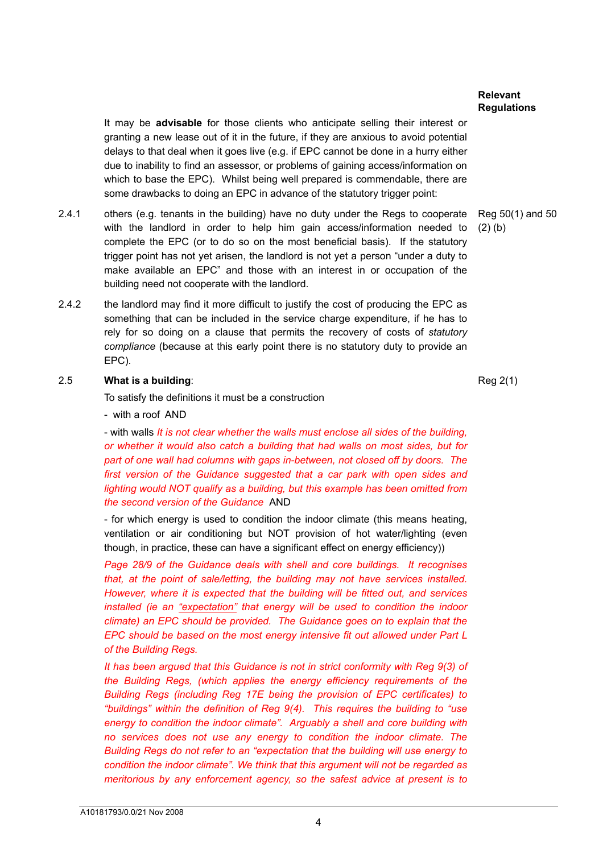It may be **advisable** for those clients who anticipate selling their interest or granting a new lease out of it in the future, if they are anxious to avoid potential delays to that deal when it goes live (e.g. if EPC cannot be done in a hurry either due to inability to find an assessor, or problems of gaining access/information on which to base the EPC). Whilst being well prepared is commendable, there are some drawbacks to doing an EPC in advance of the statutory trigger point:

- 2.4.1 others (e.g. tenants in the building) have no duty under the Regs to cooperate Reg 50(1) and 50 with the landlord in order to help him gain access/information needed to complete the EPC (or to do so on the most beneficial basis). If the statutory trigger point has not yet arisen, the landlord is not yet a person "under a duty to make available an EPC" and those with an interest in or occupation of the building need not cooperate with the landlord.
- 2.4.2 the landlord may find it more difficult to justify the cost of producing the EPC as something that can be included in the service charge expenditure, if he has to rely for so doing on a clause that permits the recovery of costs of *statutory compliance* (because at this early point there is no statutory duty to provide an EPC).

# 2.5 **What is a building**:

To satisfy the definitions it must be a construction

- with a roof AND

- with walls *It is not clear whether the walls must enclose all sides of the building, or whether it would also catch a building that had walls on most sides, but for part of one wall had columns with gaps in-between, not closed off by doors. The first version of the Guidance suggested that a car park with open sides and lighting would NOT qualify as a building, but this example has been omitted from the second version of the Guidance* AND

- for which energy is used to condition the indoor climate (this means heating, ventilation or air conditioning but NOT provision of hot water/lighting (even though, in practice, these can have a significant effect on energy efficiency))

*Page 28/9 of the Guidance deals with shell and core buildings. It recognises that, at the point of sale/letting, the building may not have services installed. However, where it is expected that the building will be fitted out, and services installed (ie an "expectation" that energy will be used to condition the indoor climate) an EPC should be provided. The Guidance goes on to explain that the EPC should be based on the most energy intensive fit out allowed under Part L of the Building Regs.* 

*It has been argued that this Guidance is not in strict conformity with Reg 9(3) of the Building Regs, (which applies the energy efficiency requirements of the Building Regs (including Reg 17E being the provision of EPC certificates) to "buildings" within the definition of Reg 9(4). This requires the building to "use energy to condition the indoor climate". Arguably a shell and core building with no services does not use any energy to condition the indoor climate. The Building Regs do not refer to an "expectation that the building will use energy to condition the indoor climate". We think that this argument will not be regarded as meritorious by any enforcement agency, so the safest advice at present is to* 

(2) (b)

Reg 2(1)

#### *Relevant* Relevant *Relevant Relevant* **Regulations**

4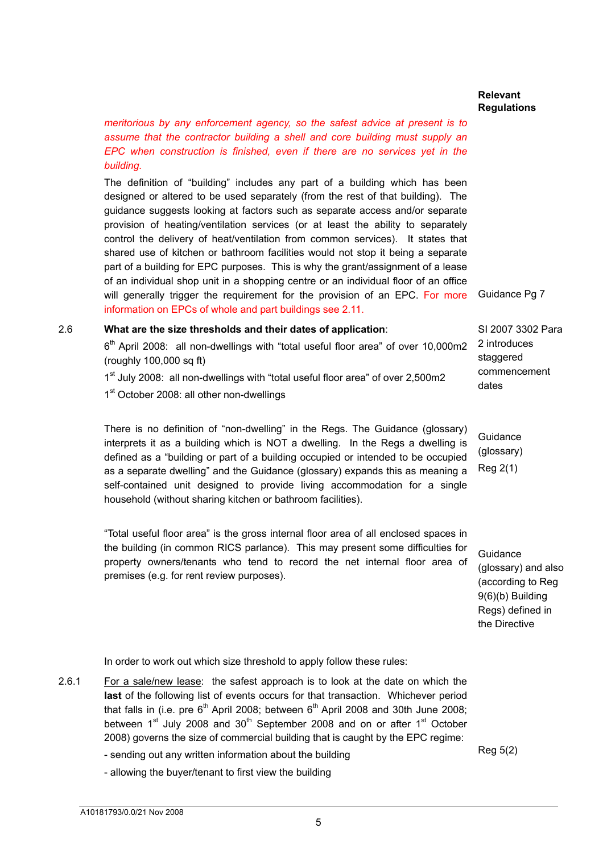*meritorious by any enforcement agency, so the safest advice at present is to assume that the contractor building a shell and core building must supply an EPC when construction is finished, even if there are no services yet in the building.* 

The definition of "building" includes any part of a building which has been designed or altered to be used separately (from the rest of that building). The guidance suggests looking at factors such as separate access and/or separate provision of heating/ventilation services (or at least the ability to separately control the delivery of heat/ventilation from common services). It states that shared use of kitchen or bathroom facilities would not stop it being a separate part of a building for EPC purposes. This is why the grant/assignment of a lease of an individual shop unit in a shopping centre or an individual floor of an office will generally trigger the requirement for the provision of an EPC. For more Guidance Pg 7 information on EPCs of whole and part buildings see 2.11.

2.6 **What are the size thresholds and their dates of application**:  $6<sup>th</sup>$  April 2008: all non-dwellings with "total useful floor area" of over 10,000m2 (roughly 100,000 sq ft) 1<sup>st</sup> July 2008: all non-dwellings with "total useful floor area" of over 2,500m2 SI 2007 3302 Para 2 introduces staggered commencement

1<sup>st</sup> October 2008: all other non-dwellings

There is no definition of "non-dwelling" in the Regs. The Guidance (glossary) interprets it as a building which is NOT a dwelling. In the Regs a dwelling is defined as a "building or part of a building occupied or intended to be occupied as a separate dwelling" and the Guidance (glossary) expands this as meaning a self-contained unit designed to provide living accommodation for a single household (without sharing kitchen or bathroom facilities). **Guidance** (glossary) Reg 2(1)

"Total useful floor area" is the gross internal floor area of all enclosed spaces in the building (in common RICS parlance). This may present some difficulties for property owners/tenants who tend to record the net internal floor area of premises (e.g. for rent review purposes).

**Guidance** (glossary) and also (according to Reg 9(6)(b) Building Regs) defined in

the Directive

In order to work out which size threshold to apply follow these rules:

2.6.1 For a sale/new lease: the safest approach is to look at the date on which the **last** of the following list of events occurs for that transaction. Whichever period that falls in (i.e. pre  $6<sup>th</sup>$  April 2008; between  $6<sup>th</sup>$  April 2008 and 30th June 2008; between  $1^{st}$  July 2008 and  $30^{th}$  September 2008 and on or after  $1^{st}$  October 2008) governs the size of commercial building that is caught by the EPC regime:

- sending out any written information about the building

Reg 5(2)

- allowing the buyer/tenant to first view the building

dates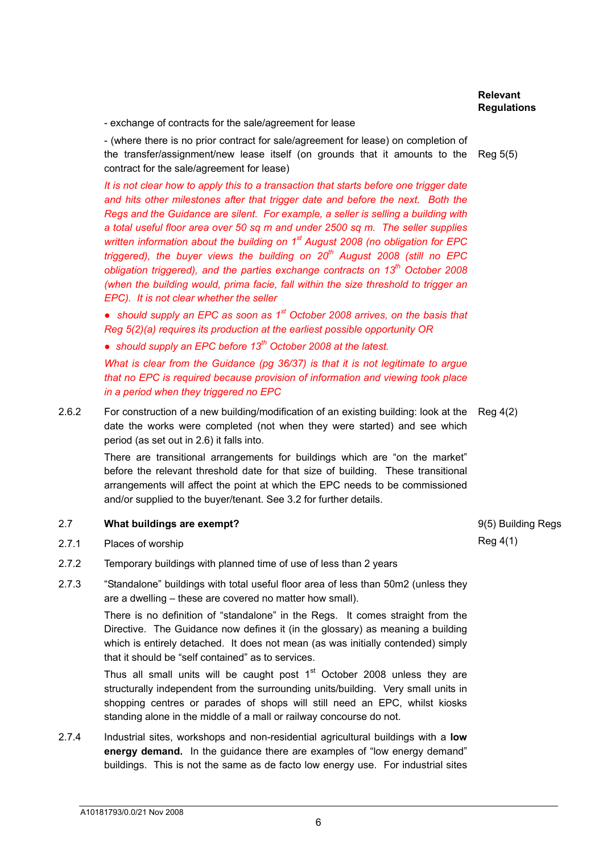- exchange of contracts for the sale/agreement for lease

- (where there is no prior contract for sale/agreement for lease) on completion of the transfer/assignment/new lease itself (on grounds that it amounts to the Reg 5(5) contract for the sale/agreement for lease)

*It is not clear how to apply this to a transaction that starts before one trigger date*  and hits other milestones after that trigger date and before the next. Both the *Regs and the Guidance are silent. For example, a seller is selling a building with a total useful floor area over 50 sq m and under 2500 sq m. The seller supplies written information about the building on 1st August 2008 (no obligation for EPC triggered), the buyer views the building on 20th August 2008 (still no EPC obligation triggered), and the parties exchange contracts on 13<sup>th</sup> October 2008 (when the building would, prima facie, fall within the size threshold to trigger an EPC). It is not clear whether the seller* 

*● should supply an EPC as soon as 1st October 2008 arrives, on the basis that Reg 5(2)(a) requires its production at the earliest possible opportunity OR* 

*● should supply an EPC before 13th October 2008 at the latest.* 

*What is clear from the Guidance (pg 36/37) is that it is not legitimate to argue that no EPC is required because provision of information and viewing took place in a period when they triggered no EPC* 

2.6.2 For construction of a new building/modification of an existing building: look at the Reg 4(2) date the works were completed (not when they were started) and see which period (as set out in 2.6) it falls into.

 There are transitional arrangements for buildings which are "on the market" before the relevant threshold date for that size of building. These transitional arrangements will affect the point at which the EPC needs to be commissioned and/or supplied to the buyer/tenant. See 3.2 for further details.

#### 2.7 **What buildings are exempt?**

2.7.1 Places of worship

A10181793/0.0/21 Nov 2008

- 2.7.2 Temporary buildings with planned time of use of less than 2 years
- 2.7.3 "Standalone" buildings with total useful floor area of less than 50m2 (unless they are a dwelling – these are covered no matter how small).

There is no definition of "standalone" in the Regs. It comes straight from the Directive. The Guidance now defines it (in the glossary) as meaning a building which is entirely detached. It does not mean (as was initially contended) simply that it should be "self contained" as to services.

Thus all small units will be caught post  $1<sup>st</sup>$  October 2008 unless they are structurally independent from the surrounding units/building. Very small units in shopping centres or parades of shops will still need an EPC, whilst kiosks standing alone in the middle of a mall or railway concourse do not.

2.7.4 Industrial sites, workshops and non-residential agricultural buildings with a **low energy demand.** In the guidance there are examples of "low energy demand" buildings. This is not the same as de facto low energy use. For industrial sites

9(5) Building Regs Reg 4(1)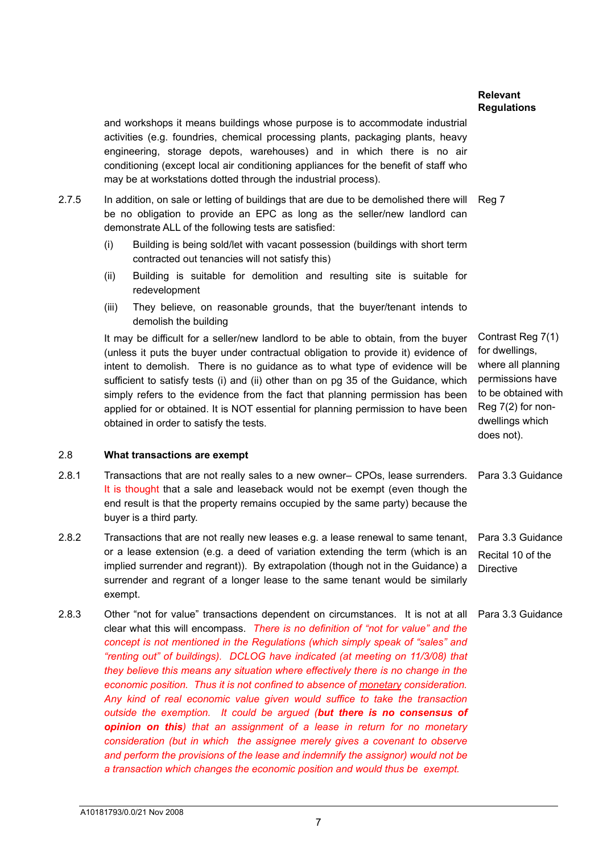and workshops it means buildings whose purpose is to accommodate industrial activities (e.g. foundries, chemical processing plants, packaging plants, heavy engineering, storage depots, warehouses) and in which there is no air conditioning (except local air conditioning appliances for the benefit of staff who may be at workstations dotted through the industrial process).

2.7.5 In addition, on sale or letting of buildings that are due to be demolished there will Reg 7 be no obligation to provide an EPC as long as the seller/new landlord can demonstrate ALL of the following tests are satisfied:

- (i) Building is being sold/let with vacant possession (buildings with short term contracted out tenancies will not satisfy this)
- (ii) Building is suitable for demolition and resulting site is suitable for redevelopment
- (iii) They believe, on reasonable grounds, that the buyer/tenant intends to demolish the building

It may be difficult for a seller/new landlord to be able to obtain, from the buyer (unless it puts the buyer under contractual obligation to provide it) evidence of intent to demolish. There is no guidance as to what type of evidence will be sufficient to satisfy tests (i) and (ii) other than on pg 35 of the Guidance, which simply refers to the evidence from the fact that planning permission has been applied for or obtained. It is NOT essential for planning permission to have been obtained in order to satisfy the tests.

## 2.8 **What transactions are exempt**

- 2.8.1 Transactions that are not really sales to a new owner– CPOs, lease surrenders. Para 3.3 Guidance It is thought that a sale and leaseback would not be exempt (even though the end result is that the property remains occupied by the same party) because the buyer is a third party.
- 2.8.2 Transactions that are not really new leases e.g. a lease renewal to same tenant, or a lease extension (e.g. a deed of variation extending the term (which is an implied surrender and regrant)). By extrapolation (though not in the Guidance) a surrender and regrant of a longer lease to the same tenant would be similarly exempt. **Directive**
- 2.8.3 Other "not for value" transactions dependent on circumstances. It is not at all Para 3.3 Guidance clear what this will encompass. *There is no definition of "not for value" and the concept is not mentioned in the Regulations (which simply speak of "sales" and "renting out" of buildings). DCLOG have indicated (at meeting on 11/3/08) that they believe this means any situation where effectively there is no change in the economic position. Thus it is not confined to absence of monetary consideration. Any kind of real economic value given would suffice to take the transaction outside the exemption. It could be argued (but there is no consensus of opinion on this) that an assignment of a lease in return for no monetary consideration (but in which the assignee merely gives a covenant to observe and perform the provisions of the lease and indemnify the assignor) would not be a transaction which changes the economic position and would thus be exempt.*

Contrast Reg 7(1) for dwellings, where all planning permissions have to be obtained with Reg 7(2) for nondwellings which does not).

Para 3.3 Guidance Recital 10 of the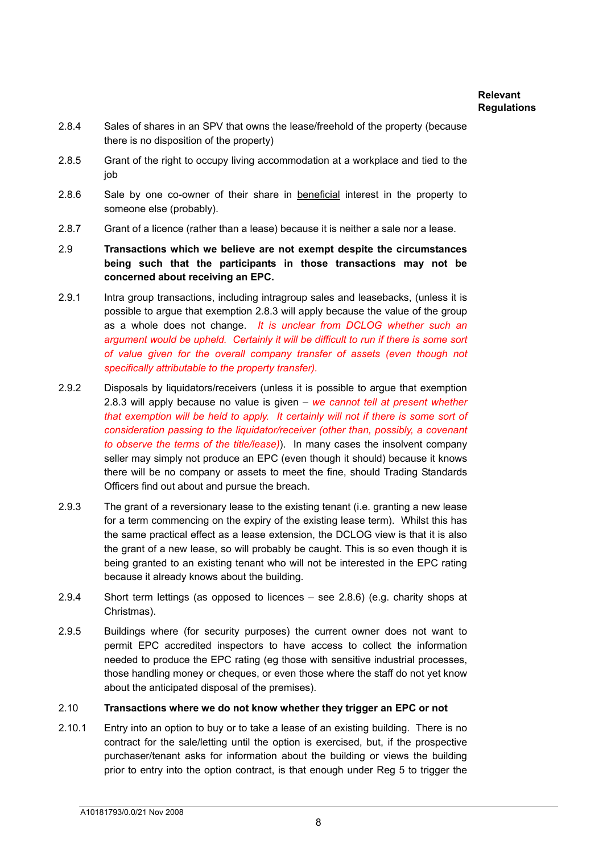- 2.8.4 Sales of shares in an SPV that owns the lease/freehold of the property (because there is no disposition of the property)
- 2.8.5 Grant of the right to occupy living accommodation at a workplace and tied to the job
- 2.8.6 Sale by one co-owner of their share in beneficial interest in the property to someone else (probably).
- 2.8.7 Grant of a licence (rather than a lease) because it is neither a sale nor a lease.
- 2.9 **Transactions which we believe are not exempt despite the circumstances being such that the participants in those transactions may not be concerned about receiving an EPC.**
- 2.9.1 Intra group transactions, including intragroup sales and leasebacks, (unless it is possible to argue that exemption 2.8.3 will apply because the value of the group as a whole does not change. *It is unclear from DCLOG whether such an argument would be upheld. Certainly it will be difficult to run if there is some sort of value given for the overall company transfer of assets (even though not specifically attributable to the property transfer).*
- 2.9.2 Disposals by liquidators/receivers (unless it is possible to argue that exemption 2.8.3 will apply because no value is given – *we cannot tell at present whether*  that exemption will be held to apply. It certainly will not if there is some sort of *consideration passing to the liquidator/receiver (other than, possibly, a covenant to observe the terms of the title/lease)*). In many cases the insolvent company seller may simply not produce an EPC (even though it should) because it knows there will be no company or assets to meet the fine, should Trading Standards Officers find out about and pursue the breach.
- 2.9.3 The grant of a reversionary lease to the existing tenant (i.e. granting a new lease for a term commencing on the expiry of the existing lease term). Whilst this has the same practical effect as a lease extension, the DCLOG view is that it is also the grant of a new lease, so will probably be caught. This is so even though it is being granted to an existing tenant who will not be interested in the EPC rating because it already knows about the building.
- 2.9.4 Short term lettings (as opposed to licences see 2.8.6) (e.g. charity shops at Christmas).
- 2.9.5 Buildings where (for security purposes) the current owner does not want to permit EPC accredited inspectors to have access to collect the information needed to produce the EPC rating (eg those with sensitive industrial processes, those handling money or cheques, or even those where the staff do not yet know about the anticipated disposal of the premises).

## 2.10 **Transactions where we do not know whether they trigger an EPC or not**

2.10.1 Entry into an option to buy or to take a lease of an existing building. There is no contract for the sale/letting until the option is exercised, but, if the prospective purchaser/tenant asks for information about the building or views the building prior to entry into the option contract, is that enough under Reg 5 to trigger the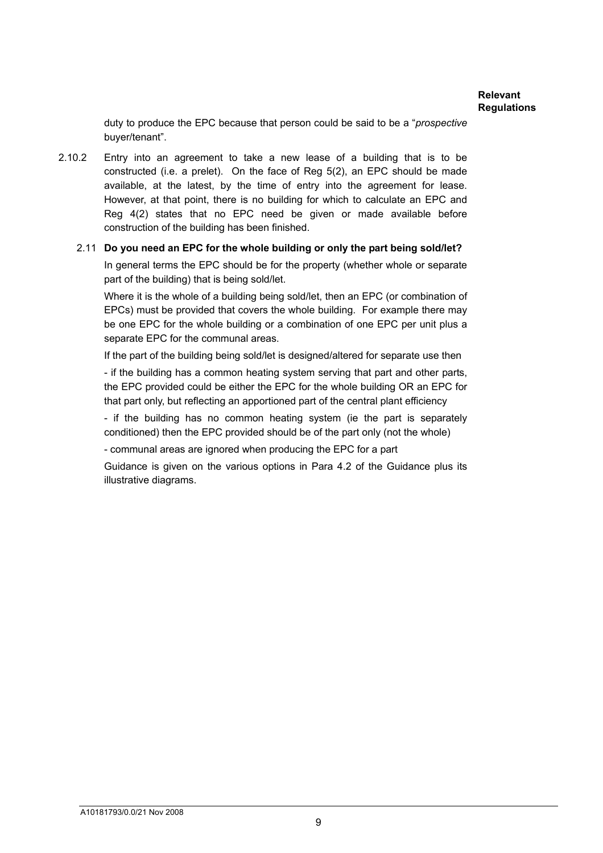duty to produce the EPC because that person could be said to be a "*prospective* buyer/tenant".

2.10.2 Entry into an agreement to take a new lease of a building that is to be constructed (i.e. a prelet). On the face of Reg 5(2), an EPC should be made available, at the latest, by the time of entry into the agreement for lease. However, at that point, there is no building for which to calculate an EPC and Reg 4(2) states that no EPC need be given or made available before construction of the building has been finished.

## 2.11 **Do you need an EPC for the whole building or only the part being sold/let?**

In general terms the EPC should be for the property (whether whole or separate part of the building) that is being sold/let.

Where it is the whole of a building being sold/let, then an EPC (or combination of EPCs) must be provided that covers the whole building. For example there may be one EPC for the whole building or a combination of one EPC per unit plus a separate EPC for the communal areas.

If the part of the building being sold/let is designed/altered for separate use then

- if the building has a common heating system serving that part and other parts, the EPC provided could be either the EPC for the whole building OR an EPC for that part only, but reflecting an apportioned part of the central plant efficiency

- if the building has no common heating system (ie the part is separately conditioned) then the EPC provided should be of the part only (not the whole)

- communal areas are ignored when producing the EPC for a part

Guidance is given on the various options in Para 4.2 of the Guidance plus its illustrative diagrams.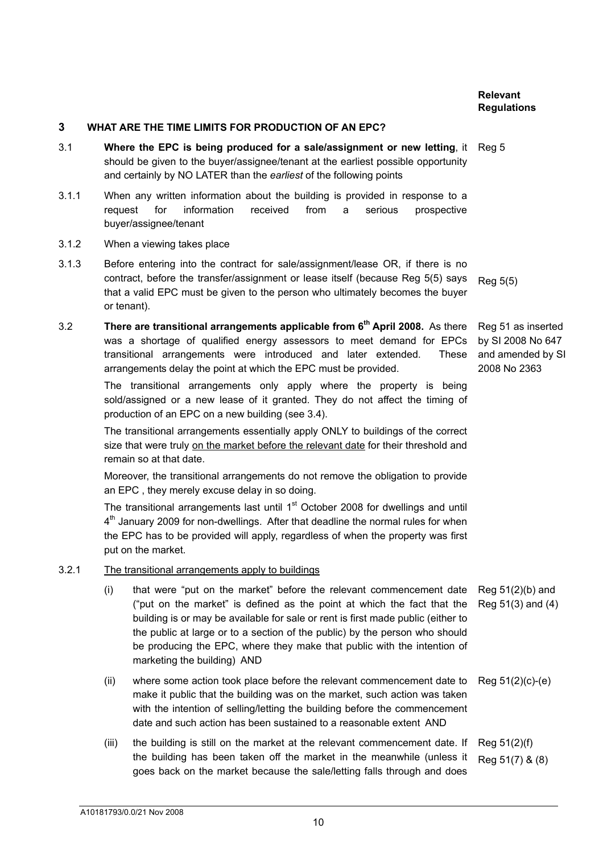#### **3 WHAT ARE THE TIME LIMITS FOR PRODUCTION OF AN EPC?**

- 3.1 **Where the EPC is being produced for a sale/assignment or new letting**, it Reg 5 should be given to the buyer/assignee/tenant at the earliest possible opportunity and certainly by NO LATER than the *earliest* of the following points
- 3.1.1 When any written information about the building is provided in response to a request for information received from a serious prospective buyer/assignee/tenant
- 3.1.2 When a viewing takes place
- 3.1.3 Before entering into the contract for sale/assignment/lease OR, if there is no contract, before the transfer/assignment or lease itself (because Reg 5(5) says that a valid EPC must be given to the person who ultimately becomes the buyer or tenant). Reg 5(5)
- 3.2 **There are transitional arrangements applicable from 6th April 2008.** As there was a shortage of qualified energy assessors to meet demand for EPCs transitional arrangements were introduced and later extended. These arrangements delay the point at which the EPC must be provided.

The transitional arrangements only apply where the property is being sold/assigned or a new lease of it granted. They do not affect the timing of production of an EPC on a new building (see 3.4).

The transitional arrangements essentially apply ONLY to buildings of the correct size that were truly on the market before the relevant date for their threshold and remain so at that date.

Moreover, the transitional arrangements do not remove the obligation to provide an EPC , they merely excuse delay in so doing.

The transitional arrangements last until 1<sup>st</sup> October 2008 for dwellings and until  $4<sup>th</sup>$  January 2009 for non-dwellings. After that deadline the normal rules for when the EPC has to be provided will apply, regardless of when the property was first put on the market.

## 3.2.1 The transitional arrangements apply to buildings

A10181793/0.0/21 Nov 2008

- (i) that were "put on the market" before the relevant commencement date Reg 51(2)(b) and ("put on the market" is defined as the point at which the fact that the Reg 51(3) and (4) building is or may be available for sale or rent is first made public (either to the public at large or to a section of the public) by the person who should be producing the EPC, where they make that public with the intention of marketing the building) AND
- (ii) where some action took place before the relevant commencement date to Reg 51(2)(c)-(e) make it public that the building was on the market, such action was taken with the intention of selling/letting the building before the commencement date and such action has been sustained to a reasonable extent AND
	- (iii) the building is still on the market at the relevant commencement date. If the building has been taken off the market in the meanwhile (unless it goes back on the market because the sale/letting falls through and does Reg 51(2)(f) Reg 51(7) & (8)

10

Reg 51 as inserted by SI 2008 No 647 and amended by SI 2008 No 2363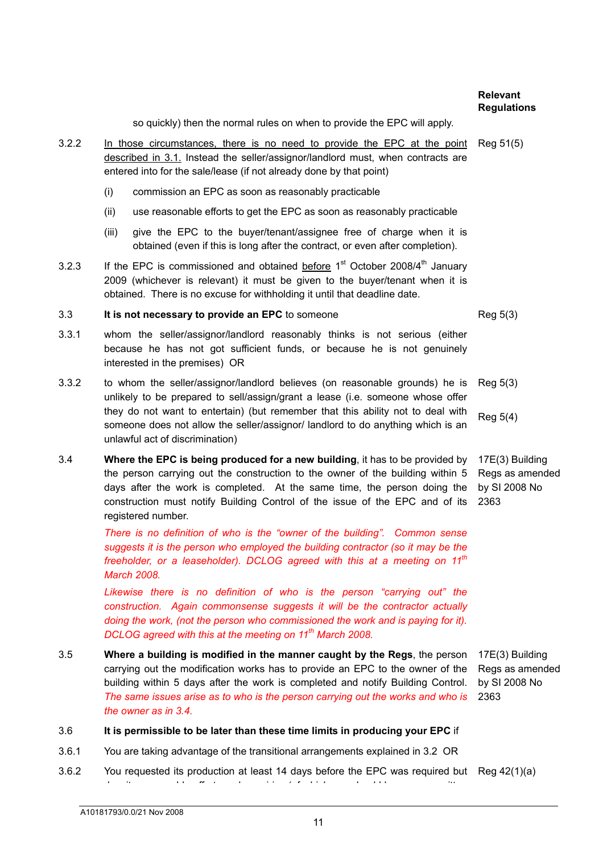|       |                                                                                                                                                                                                                                                                                                                                                                        | <b>Relevant</b><br><b>Regulations</b>                       |
|-------|------------------------------------------------------------------------------------------------------------------------------------------------------------------------------------------------------------------------------------------------------------------------------------------------------------------------------------------------------------------------|-------------------------------------------------------------|
|       | so quickly) then the normal rules on when to provide the EPC will apply.                                                                                                                                                                                                                                                                                               |                                                             |
| 3.2.2 | In those circumstances, there is no need to provide the EPC at the point<br>described in 3.1. Instead the seller/assignor/landlord must, when contracts are<br>entered into for the sale/lease (if not already done by that point)                                                                                                                                     | Reg 51(5)                                                   |
|       | (i)<br>commission an EPC as soon as reasonably practicable                                                                                                                                                                                                                                                                                                             |                                                             |
|       | (ii)<br>use reasonable efforts to get the EPC as soon as reasonably practicable                                                                                                                                                                                                                                                                                        |                                                             |
|       | (iii)<br>give the EPC to the buyer/tenant/assignee free of charge when it is<br>obtained (even if this is long after the contract, or even after completion).                                                                                                                                                                                                          |                                                             |
| 3.2.3 | If the EPC is commissioned and obtained before $1st$ October 2008/4 <sup>th</sup> January<br>2009 (whichever is relevant) it must be given to the buyer/tenant when it is<br>obtained. There is no excuse for withholding it until that deadline date.                                                                                                                 |                                                             |
| 3.3   | It is not necessary to provide an EPC to someone                                                                                                                                                                                                                                                                                                                       | Reg 5(3)                                                    |
| 3.3.1 | whom the seller/assignor/landlord reasonably thinks is not serious (either<br>because he has not got sufficient funds, or because he is not genuinely<br>interested in the premises) OR                                                                                                                                                                                |                                                             |
| 3.3.2 | to whom the seller/assignor/landlord believes (on reasonable grounds) he is<br>unlikely to be prepared to sell/assign/grant a lease (i.e. someone whose offer<br>they do not want to entertain) (but remember that this ability not to deal with<br>someone does not allow the seller/assignor/ landlord to do anything which is an<br>unlawful act of discrimination) | Reg 5(3)<br>Reg $5(4)$                                      |
| 3.4   | Where the EPC is being produced for a new building, it has to be provided by<br>the person carrying out the construction to the owner of the building within 5<br>days after the work is completed. At the same time, the person doing the<br>construction must notify Building Control of the issue of the EPC and of its<br>registered number.                       | 17E(3) Building<br>Regs as amended<br>by SI 2008 No<br>2363 |
|       | There is no definition of who is the "owner of the building".<br>Common sense<br>suggests it is the person who employed the building contractor (so it may be the<br>freeholder, or a leaseholder). DCLOG agreed with this at a meeting on 11 <sup>th</sup><br>March 2008.                                                                                             |                                                             |
|       | Likewise there is no definition of who is the person "carrying out" the<br>construction. Again commonsense suggests it will be the contractor actually<br>doing the work, (not the person who commissioned the work and is paying for it).<br>DCLOG agreed with this at the meeting on 11 <sup>th</sup> March 2008.                                                    |                                                             |
| 3.5   | Where a building is modified in the manner caught by the Regs, the person<br>carrying out the modification works has to provide an EPC to the owner of the<br>building within 5 days after the work is completed and notify Building Control.                                                                                                                          | 17E(3) Building<br>Regs as amended<br>by SI 2008 No         |

## 3.6 **It is permissible to be later than these time limits in producing your EPC** if

- 3.6.1 You are taking advantage of the transitional arrangements explained in 3.2 OR
- 3.6.2 You requested its production at least 14 days before the EPC was required but Reg 42(1)(a)

d it blev to the first official control of the interaction of the interaction of the interaction of the interact<br>The interaction of the interaction of the interaction of the interaction of the interaction of the interactio

*The same issues arise as to who is the person carrying out the works and who is*  2363

*the owner as in 3.4.*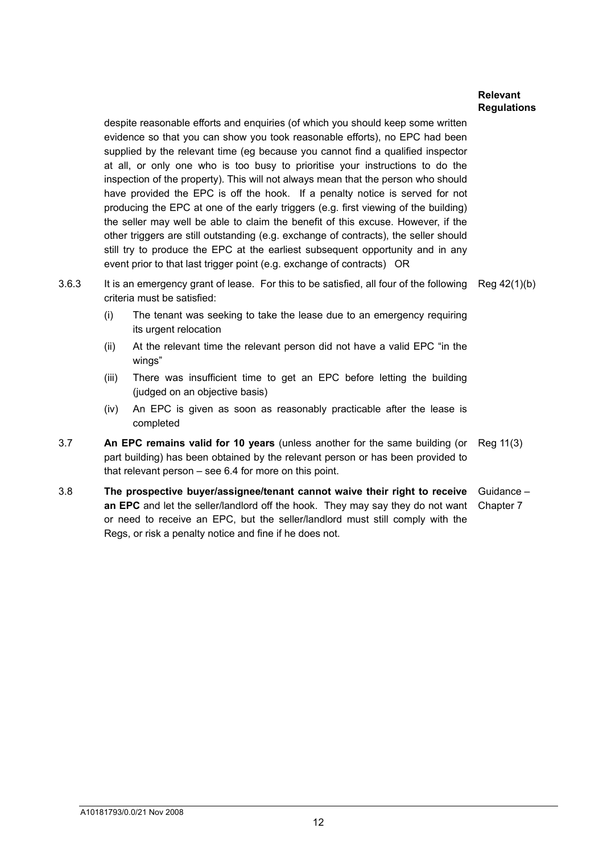despite reasonable efforts and enquiries (of which you should keep some written evidence so that you can show you took reasonable efforts), no EPC had been supplied by the relevant time (eg because you cannot find a qualified inspector at all, or only one who is too busy to prioritise your instructions to do the inspection of the property). This will not always mean that the person who should have provided the EPC is off the hook. If a penalty notice is served for not producing the EPC at one of the early triggers (e.g. first viewing of the building) the seller may well be able to claim the benefit of this excuse. However, if the other triggers are still outstanding (e.g. exchange of contracts), the seller should still try to produce the EPC at the earliest subsequent opportunity and in any event prior to that last trigger point (e.g. exchange of contracts) OR

3.6.3 It is an emergency grant of lease. For this to be satisfied, all four of the following Reg 42(1)(b) criteria must be satisfied:

- (i) The tenant was seeking to take the lease due to an emergency requiring its urgent relocation
- (ii) At the relevant time the relevant person did not have a valid EPC "in the wings"
- (iii) There was insufficient time to get an EPC before letting the building (judged on an objective basis)
- (iv) An EPC is given as soon as reasonably practicable after the lease is completed
- 3.7 **An EPC remains valid for 10 years** (unless another for the same building (or part building) has been obtained by the relevant person or has been provided to that relevant person – see 6.4 for more on this point. Reg 11(3)
- 3.8 **The prospective buyer/assignee/tenant cannot waive their right to receive an EPC** and let the seller/landlord off the hook. They may say they do not want Chapter 7 or need to receive an EPC, but the seller/landlord must still comply with the Regs, or risk a penalty notice and fine if he does not. Guidance –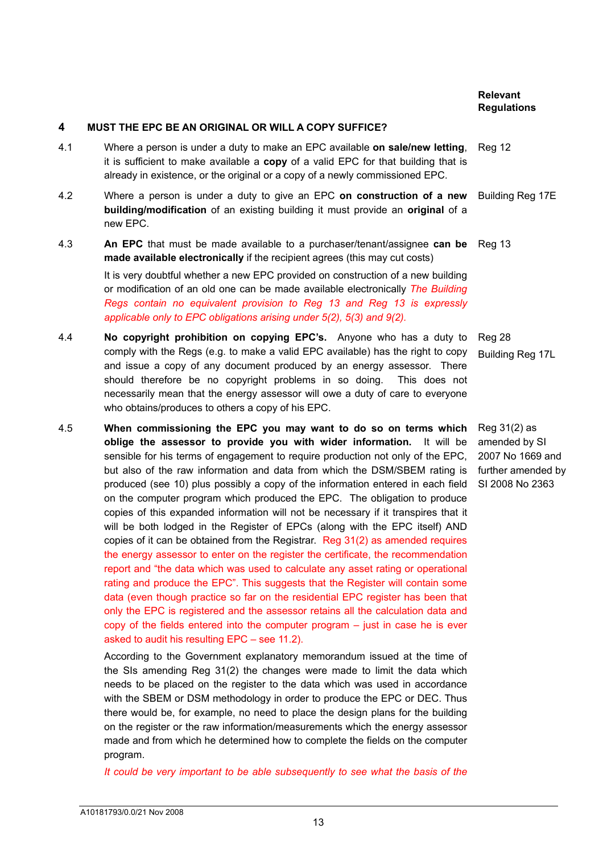### **4 MUST THE EPC BE AN ORIGINAL OR WILL A COPY SUFFICE?**

- 4.1 Where a person is under a duty to make an EPC available **on sale/new letting**, it is sufficient to make available a **copy** of a valid EPC for that building that is already in existence, or the original or a copy of a newly commissioned EPC. Reg 12
- 4.2 Where a person is under a duty to give an EPC **on construction of a new building/modification** of an existing building it must provide an **original** of a new EPC. Building Reg 17E
- 4.3 **An EPC** that must be made available to a purchaser/tenant/assignee **can be**  Reg 13 **made available electronically** if the recipient agrees (this may cut costs)

It is very doubtful whether a new EPC provided on construction of a new building or modification of an old one can be made available electronically *The Building Regs contain no equivalent provision to Reg 13 and Reg 13 is expressly applicable only to EPC obligations arising under 5(2), 5(3) and 9(2).* 

- 4.4 **No copyright prohibition on copying EPC's.** Anyone who has a duty to comply with the Regs (e.g. to make a valid EPC available) has the right to copy and issue a copy of any document produced by an energy assessor. There should therefore be no copyright problems in so doing. This does not necessarily mean that the energy assessor will owe a duty of care to everyone who obtains/produces to others a copy of his EPC. Reg 28 Building Reg 17L
- 4.5 **When commissioning the EPC you may want to do so on terms which**  Reg 31(2) as **oblige the assessor to provide you with wider information.** It will be sensible for his terms of engagement to require production not only of the EPC, but also of the raw information and data from which the DSM/SBEM rating is produced (see 10) plus possibly a copy of the information entered in each field on the computer program which produced the EPC. The obligation to produce copies of this expanded information will not be necessary if it transpires that it will be both lodged in the Register of EPCs (along with the EPC itself) AND copies of it can be obtained from the Registrar. Reg 31(2) as amended requires the energy assessor to enter on the register the certificate, the recommendation report and "the data which was used to calculate any asset rating or operational rating and produce the EPC". This suggests that the Register will contain some data (even though practice so far on the residential EPC register has been that only the EPC is registered and the assessor retains all the calculation data and copy of the fields entered into the computer program – just in case he is ever asked to audit his resulting EPC – see 11.2).

According to the Government explanatory memorandum issued at the time of the SIs amending Reg 31(2) the changes were made to limit the data which needs to be placed on the register to the data which was used in accordance with the SBEM or DSM methodology in order to produce the EPC or DEC. Thus there would be, for example, no need to place the design plans for the building on the register or the raw information/measurements which the energy assessor made and from which he determined how to complete the fields on the computer program.

*It could be very important to be able subsequently to see what the basis of the* 

amended by SI 2007 No 1669 and further amended by SI 2008 No 2363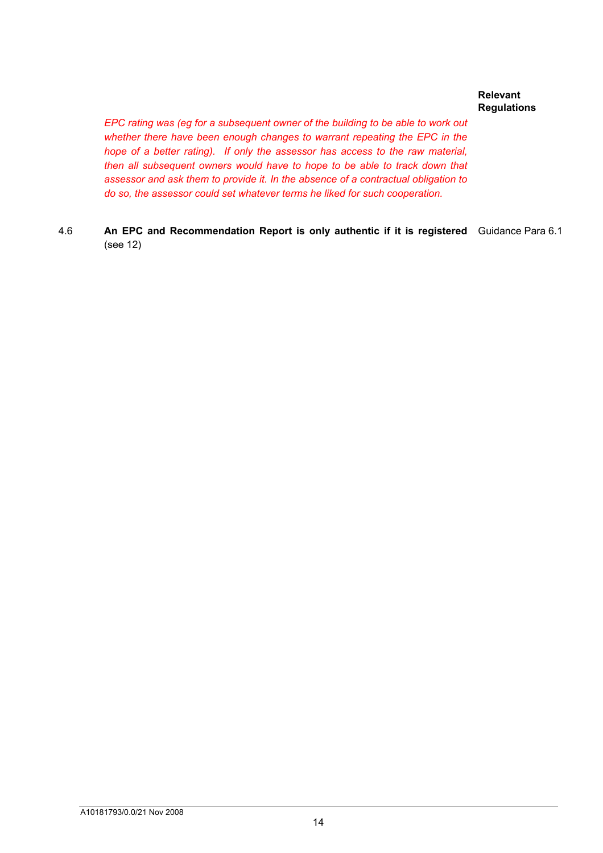*EPC rating was (eg for a subsequent owner of the building to be able to work out*  whether there have been enough changes to warrant repeating the EPC in the *hope of a better rating). If only the assessor has access to the raw material, then all subsequent owners would have to hope to be able to track down that assessor and ask them to provide it. In the absence of a contractual obligation to do so, the assessor could set whatever terms he liked for such cooperation.* 

4.6 **An EPC and Recommendation Report is only authentic if it is registered**  Guidance Para 6.1 (see 12)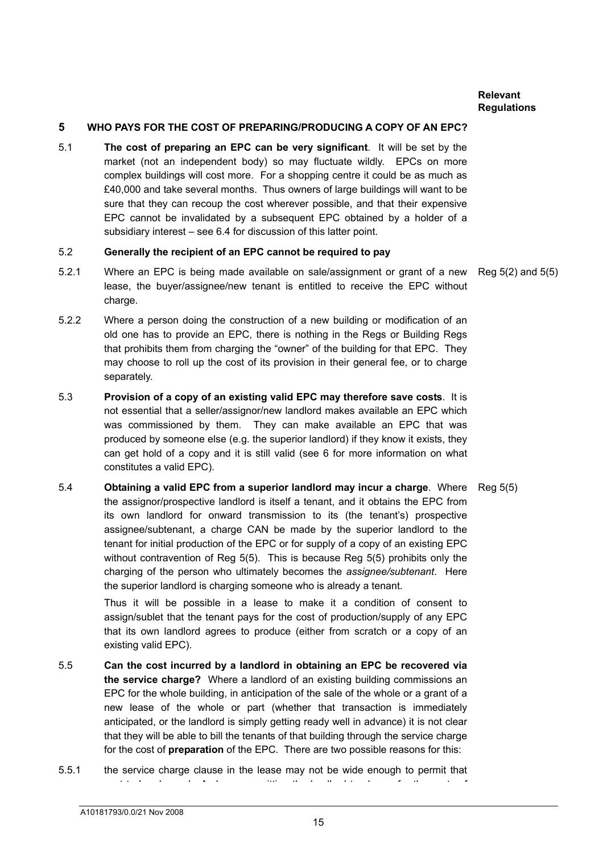## **5 WHO PAYS FOR THE COST OF PREPARING/PRODUCING A COPY OF AN EPC?**

5.1 **The cost of preparing an EPC can be very significant**. It will be set by the market (not an independent body) so may fluctuate wildly. EPCs on more complex buildings will cost more. For a shopping centre it could be as much as £40,000 and take several months. Thus owners of large buildings will want to be sure that they can recoup the cost wherever possible, and that their expensive EPC cannot be invalidated by a subsequent EPC obtained by a holder of a subsidiary interest – see 6.4 for discussion of this latter point.

## 5.2 **Generally the recipient of an EPC cannot be required to pay**

- 5.2.1 Where an EPC is being made available on sale/assignment or grant of a new Reg 5(2) and 5(5) lease, the buyer/assignee/new tenant is entitled to receive the EPC without charge.
- 5.2.2 Where a person doing the construction of a new building or modification of an old one has to provide an EPC, there is nothing in the Regs or Building Regs that prohibits them from charging the "owner" of the building for that EPC. They may choose to roll up the cost of its provision in their general fee, or to charge separately.
- 5.3 **Provision of a copy of an existing valid EPC may therefore save costs**. It is not essential that a seller/assignor/new landlord makes available an EPC which was commissioned by them. They can make available an EPC that was produced by someone else (e.g. the superior landlord) if they know it exists, they can get hold of a copy and it is still valid (see 6 for more information on what constitutes a valid EPC).
- 5.4 **Obtaining a valid EPC from a superior landlord may incur a charge**. Where Reg 5(5) the assignor/prospective landlord is itself a tenant, and it obtains the EPC from its own landlord for onward transmission to its (the tenant's) prospective assignee/subtenant, a charge CAN be made by the superior landlord to the tenant for initial production of the EPC or for supply of a copy of an existing EPC without contravention of Reg 5(5). This is because Reg 5(5) prohibits only the charging of the person who ultimately becomes the *assignee/subtenant*. Here the superior landlord is charging someone who is already a tenant.

Thus it will be possible in a lease to make it a condition of consent to assign/sublet that the tenant pays for the cost of production/supply of any EPC that its own landlord agrees to produce (either from scratch or a copy of an existing valid EPC).

- 5.5 **Can the cost incurred by a landlord in obtaining an EPC be recovered via the service charge?** Where a landlord of an existing building commissions an EPC for the whole building, in anticipation of the sale of the whole or a grant of a new lease of the whole or part (whether that transaction is immediately anticipated, or the landlord is simply getting ready well in advance) it is not clear that they will be able to bill the tenants of that building through the service charge for the cost of **preparation** of the EPC. There are two possible reasons for this:
- 5.5.1 the service charge clause in the lease may not be wide enough to permit that

tt b h d a l itti th l da t f th t f th t f th t f th t f th t f th t f th t f th t f th t f t<br>The film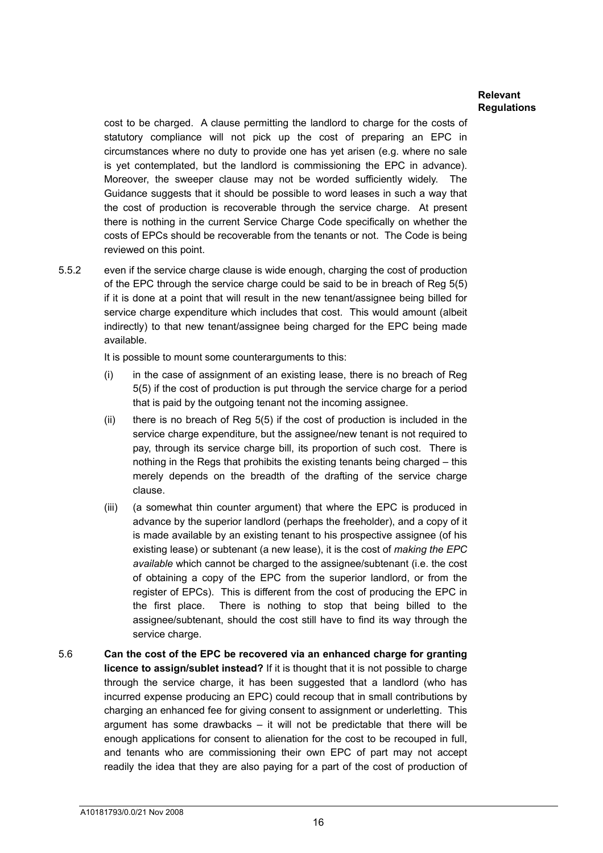cost to be charged. A clause permitting the landlord to charge for the costs of statutory compliance will not pick up the cost of preparing an EPC in circumstances where no duty to provide one has yet arisen (e.g. where no sale is yet contemplated, but the landlord is commissioning the EPC in advance). Moreover, the sweeper clause may not be worded sufficiently widely. The Guidance suggests that it should be possible to word leases in such a way that the cost of production is recoverable through the service charge. At present there is nothing in the current Service Charge Code specifically on whether the costs of EPCs should be recoverable from the tenants or not. The Code is being reviewed on this point.

5.5.2 even if the service charge clause is wide enough, charging the cost of production of the EPC through the service charge could be said to be in breach of Reg 5(5) if it is done at a point that will result in the new tenant/assignee being billed for service charge expenditure which includes that cost. This would amount (albeit indirectly) to that new tenant/assignee being charged for the EPC being made available.

It is possible to mount some counterarguments to this:

- (i) in the case of assignment of an existing lease, there is no breach of Reg 5(5) if the cost of production is put through the service charge for a period that is paid by the outgoing tenant not the incoming assignee.
- (ii) there is no breach of Reg 5(5) if the cost of production is included in the service charge expenditure, but the assignee/new tenant is not required to pay, through its service charge bill, its proportion of such cost. There is nothing in the Regs that prohibits the existing tenants being charged – this merely depends on the breadth of the drafting of the service charge clause.
- (iii) (a somewhat thin counter argument) that where the EPC is produced in advance by the superior landlord (perhaps the freeholder), and a copy of it is made available by an existing tenant to his prospective assignee (of his existing lease) or subtenant (a new lease), it is the cost of *making the EPC available* which cannot be charged to the assignee/subtenant (i.e. the cost of obtaining a copy of the EPC from the superior landlord, or from the register of EPCs). This is different from the cost of producing the EPC in the first place. There is nothing to stop that being billed to the assignee/subtenant, should the cost still have to find its way through the service charge.
- 5.6 **Can the cost of the EPC be recovered via an enhanced charge for granting licence to assign/sublet instead?** If it is thought that it is not possible to charge through the service charge, it has been suggested that a landlord (who has incurred expense producing an EPC) could recoup that in small contributions by charging an enhanced fee for giving consent to assignment or underletting. This argument has some drawbacks – it will not be predictable that there will be enough applications for consent to alienation for the cost to be recouped in full, and tenants who are commissioning their own EPC of part may not accept readily the idea that they are also paying for a part of the cost of production of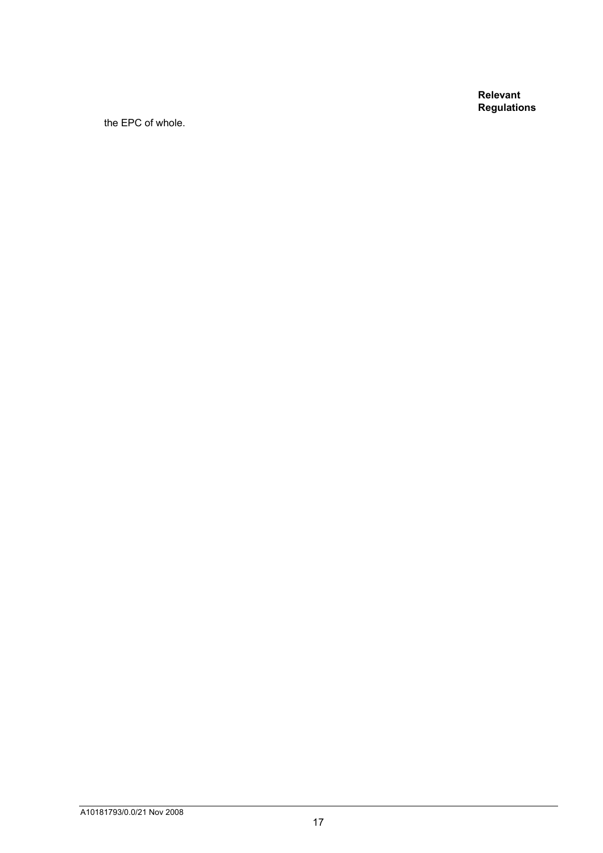the EPC of whole.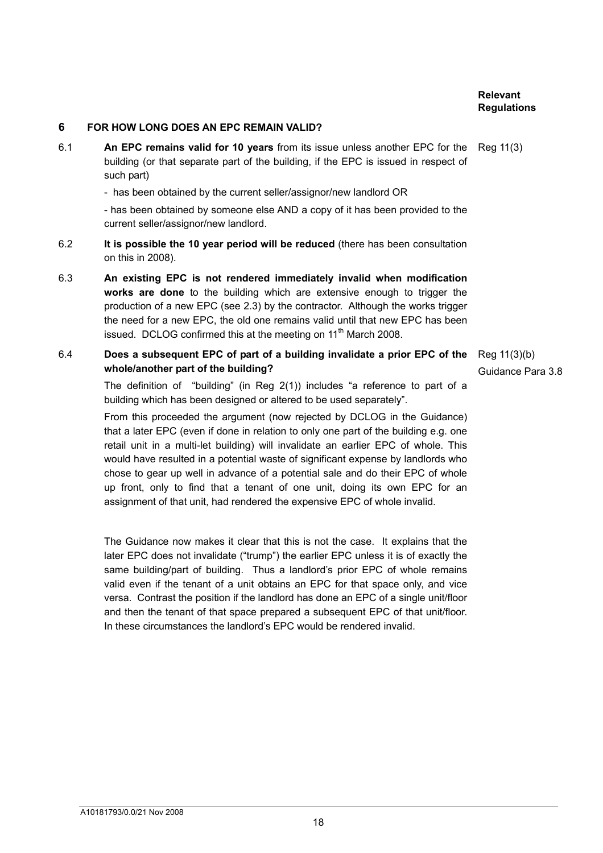A10181793/0.0/21 Nov 2008

## **6 FOR HOW LONG DOES AN EPC REMAIN VALID?**

6.1 **An EPC remains valid for 10 years** from its issue unless another EPC for the Reg 11(3) building (or that separate part of the building, if the EPC is issued in respect of such part)

- has been obtained by the current seller/assignor/new landlord OR

- has been obtained by someone else AND a copy of it has been provided to the current seller/assignor/new landlord.

- 6.2 **It is possible the 10 year period will be reduced** (there has been consultation on this in 2008).
- 6.3 **An existing EPC is not rendered immediately invalid when modification works are done** to the building which are extensive enough to trigger the production of a new EPC (see 2.3) by the contractor. Although the works trigger the need for a new EPC, the old one remains valid until that new EPC has been issued. DCLOG confirmed this at the meeting on  $11<sup>th</sup>$  March 2008.

## 6.4 **Does a subsequent EPC of part of a building invalidate a prior EPC of the**  Reg 11(3)(b) **whole/another part of the building?**

The definition of "building" (in Reg 2(1)) includes "a reference to part of a building which has been designed or altered to be used separately".

From this proceeded the argument (now rejected by DCLOG in the Guidance) that a later EPC (even if done in relation to only one part of the building e.g. one retail unit in a multi-let building) will invalidate an earlier EPC of whole. This would have resulted in a potential waste of significant expense by landlords who chose to gear up well in advance of a potential sale and do their EPC of whole up front, only to find that a tenant of one unit, doing its own EPC for an assignment of that unit, had rendered the expensive EPC of whole invalid.

 The Guidance now makes it clear that this is not the case. It explains that the later EPC does not invalidate ("trump") the earlier EPC unless it is of exactly the same building/part of building. Thus a landlord's prior EPC of whole remains valid even if the tenant of a unit obtains an EPC for that space only, and vice versa. Contrast the position if the landlord has done an EPC of a single unit/floor and then the tenant of that space prepared a subsequent EPC of that unit/floor. In these circumstances the landlord's EPC would be rendered invalid.

Guidance Para 3.8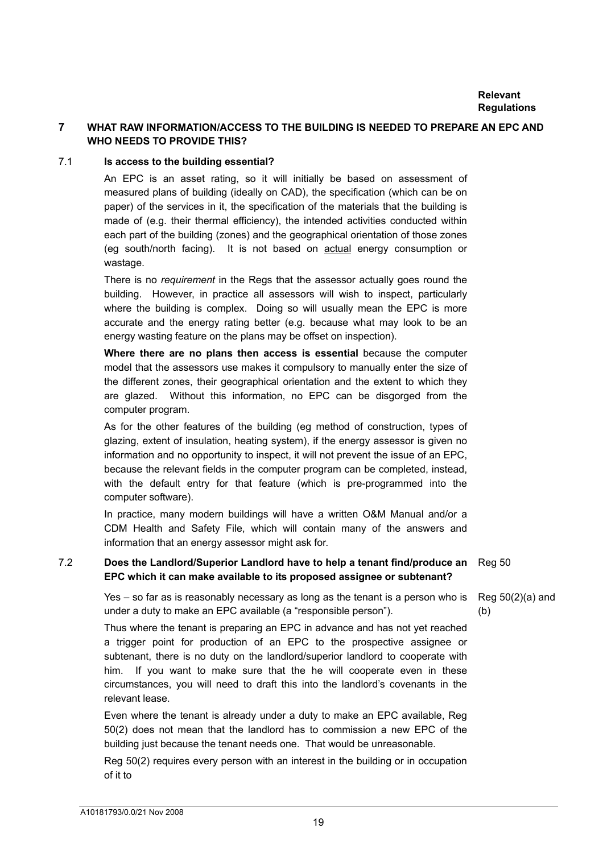## **7 WHAT RAW INFORMATION/ACCESS TO THE BUILDING IS NEEDED TO PREPARE AN EPC AND WHO NEEDS TO PROVIDE THIS?**

## 7.1 **Is access to the building essential?**

An EPC is an asset rating, so it will initially be based on assessment of measured plans of building (ideally on CAD), the specification (which can be on paper) of the services in it, the specification of the materials that the building is made of (e.g. their thermal efficiency), the intended activities conducted within each part of the building (zones) and the geographical orientation of those zones (eg south/north facing). It is not based on actual energy consumption or wastage.

There is no *requirement* in the Regs that the assessor actually goes round the building. However, in practice all assessors will wish to inspect, particularly where the building is complex. Doing so will usually mean the EPC is more accurate and the energy rating better (e.g. because what may look to be an energy wasting feature on the plans may be offset on inspection).

**Where there are no plans then access is essential** because the computer model that the assessors use makes it compulsory to manually enter the size of the different zones, their geographical orientation and the extent to which they are glazed. Without this information, no EPC can be disgorged from the computer program.

As for the other features of the building (eg method of construction, types of glazing, extent of insulation, heating system), if the energy assessor is given no information and no opportunity to inspect, it will not prevent the issue of an EPC, because the relevant fields in the computer program can be completed, instead, with the default entry for that feature (which is pre-programmed into the computer software).

In practice, many modern buildings will have a written O&M Manual and/or a CDM Health and Safety File, which will contain many of the answers and information that an energy assessor might ask for.

## 7.2 **Does the Landlord/Superior Landlord have to help a tenant find/produce an**  Reg 50 **EPC which it can make available to its proposed assignee or subtenant?**

 Yes – so far as is reasonably necessary as long as the tenant is a person who is under a duty to make an EPC available (a "responsible person").

Thus where the tenant is preparing an EPC in advance and has not yet reached a trigger point for production of an EPC to the prospective assignee or subtenant, there is no duty on the landlord/superior landlord to cooperate with him. If you want to make sure that the he will cooperate even in these circumstances, you will need to draft this into the landlord's covenants in the relevant lease.

Even where the tenant is already under a duty to make an EPC available, Reg 50(2) does not mean that the landlord has to commission a new EPC of the building just because the tenant needs one. That would be unreasonable.

Reg 50(2) requires every person with an interest in the building or in occupation of it to

Reg 50(2)(a) and (b)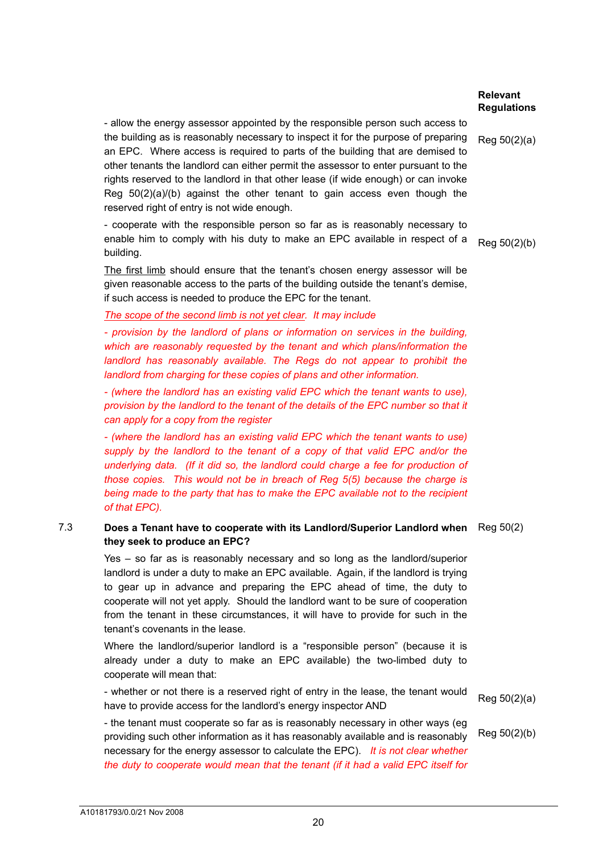- allow the energy assessor appointed by the responsible person such access to the building as is reasonably necessary to inspect it for the purpose of preparing an EPC. Where access is required to parts of the building that are demised to other tenants the landlord can either permit the assessor to enter pursuant to the rights reserved to the landlord in that other lease (if wide enough) or can invoke Reg 50(2)(a)/(b) against the other tenant to gain access even though the reserved right of entry is not wide enough. Reg 50(2)(a)

- cooperate with the responsible person so far as is reasonably necessary to enable him to comply with his duty to make an EPC available in respect of a building.

The first limb should ensure that the tenant's chosen energy assessor will be given reasonable access to the parts of the building outside the tenant's demise, if such access is needed to produce the EPC for the tenant.

#### *The scope of the second limb is not yet clear. It may include*

*- provision by the landlord of plans or information on services in the building, which are reasonably requested by the tenant and which plans/information the landlord has reasonably available. The Regs do not appear to prohibit the landlord from charging for these copies of plans and other information.* 

*- (where the landlord has an existing valid EPC which the tenant wants to use), provision by the landlord to the tenant of the details of the EPC number so that it can apply for a copy from the register* 

*- (where the landlord has an existing valid EPC which the tenant wants to use)*  supply by the landlord to the tenant of a copy of that valid EPC and/or the *underlying data. (If it did so, the landlord could charge a fee for production of those copies. This would not be in breach of Reg 5(5) because the charge is being made to the party that has to make the EPC available not to the recipient of that EPC).*

## 7.3 **Does a Tenant have to cooperate with its Landlord/Superior Landlord when**  Reg 50(2) **they seek to produce an EPC?**

Yes – so far as is reasonably necessary and so long as the landlord/superior landlord is under a duty to make an EPC available. Again, if the landlord is trying to gear up in advance and preparing the EPC ahead of time, the duty to cooperate will not yet apply. Should the landlord want to be sure of cooperation from the tenant in these circumstances, it will have to provide for such in the tenant's covenants in the lease.

Where the landlord/superior landlord is a "responsible person" (because it is already under a duty to make an EPC available) the two-limbed duty to cooperate will mean that:

- whether or not there is a reserved right of entry in the lease, the tenant would have to provide access for the landlord's energy inspector AND

Reg 50(2)(a)

- the tenant must cooperate so far as is reasonably necessary in other ways (eg providing such other information as it has reasonably available and is reasonably necessary for the energy assessor to calculate the EPC). *It is not clear whether the duty to cooperate would mean that the tenant (if it had a valid EPC itself for* 

Reg 50(2)(b)

A10181793/0.0/21 Nov 2008

Reg 50(2)(b)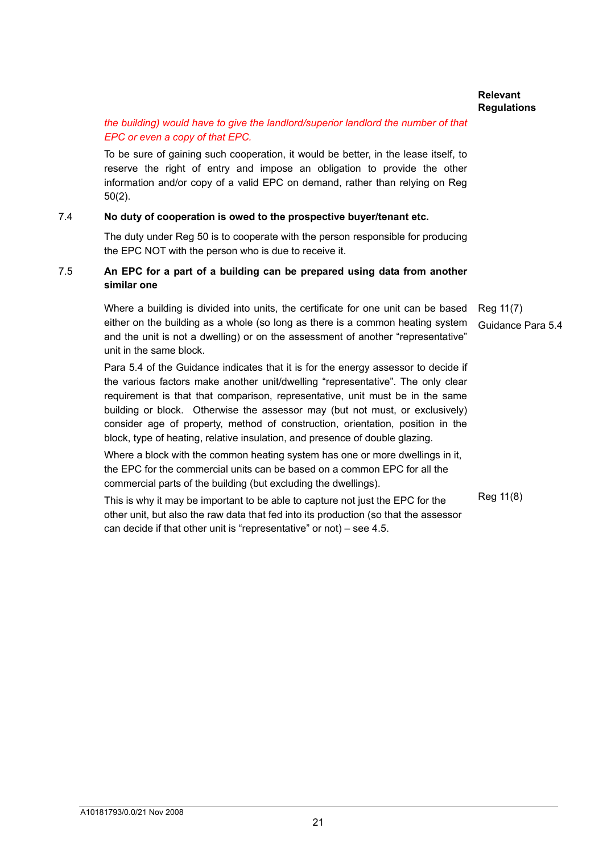## *the building) would have to give the landlord/superior landlord the number of that EPC or even a copy of that EPC.*

To be sure of gaining such cooperation, it would be better, in the lease itself, to reserve the right of entry and impose an obligation to provide the other information and/or copy of a valid EPC on demand, rather than relying on Reg 50(2).

## 7.4 **No duty of cooperation is owed to the prospective buyer/tenant etc.**

 The duty under Reg 50 is to cooperate with the person responsible for producing the EPC NOT with the person who is due to receive it.

## 7.5 **An EPC for a part of a building can be prepared using data from another similar one**

 Where a building is divided into units, the certificate for one unit can be based either on the building as a whole (so long as there is a common heating system and the unit is not a dwelling) or on the assessment of another "representative" unit in the same block.

Para 5.4 of the Guidance indicates that it is for the energy assessor to decide if the various factors make another unit/dwelling "representative". The only clear requirement is that that comparison, representative, unit must be in the same building or block. Otherwise the assessor may (but not must, or exclusively) consider age of property, method of construction, orientation, position in the block, type of heating, relative insulation, and presence of double glazing.

Where a block with the common heating system has one or more dwellings in it, the EPC for the commercial units can be based on a common EPC for all the commercial parts of the building (but excluding the dwellings).

This is why it may be important to be able to capture not just the EPC for the other unit, but also the raw data that fed into its production (so that the assessor can decide if that other unit is "representative" or not) – see 4.5. Reg 11(8)

Reg 11(7) Guidance Para 5.4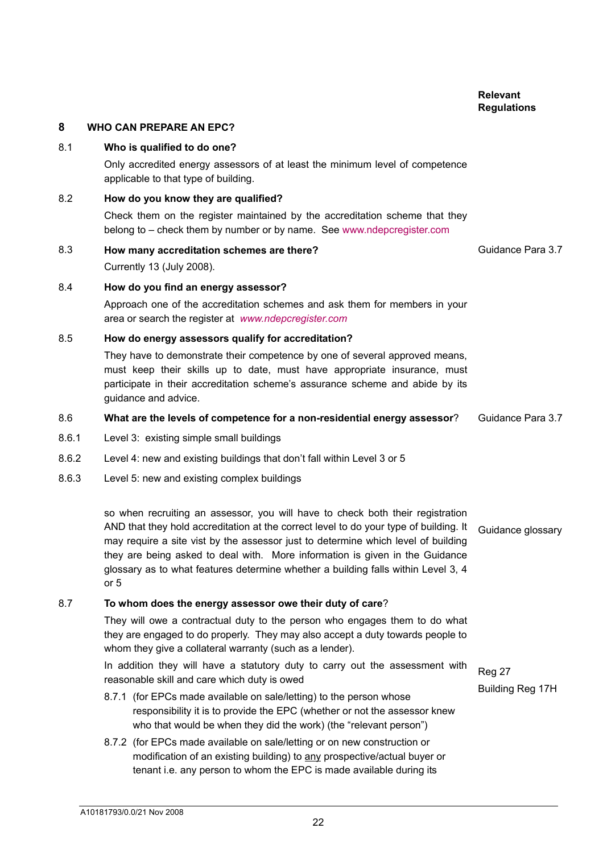**8 WHO CAN PREPARE AN EPC?** 8.1 **Who is qualified to do one?**  Only accredited energy assessors of at least the minimum level of competence applicable to that type of building. 8.2 **How do you know they are qualified?**  Check them on the register maintained by the accreditation scheme that they belong to – check them by number or by name. See www.ndepcregister.com 8.3 **How many accreditation schemes are there?**  Currently 13 (July 2008). 8.4 **How do you find an energy assessor?**  Approach one of the accreditation schemes and ask them for members in your area or search the register at *www.ndepcregister.com*  8.5 **How do energy assessors qualify for accreditation?**  They have to demonstrate their competence by one of several approved means, must keep their skills up to date, must have appropriate insurance, must participate in their accreditation scheme's assurance scheme and abide by its

## 8.6 **What are the levels of competence for a non-residential energy assessor**? Guidance Para 3.7

8.6.1 Level 3: existing simple small buildings

guidance and advice.

- 8.6.2 Level 4: new and existing buildings that don't fall within Level 3 or 5
- 8.6.3 Level 5: new and existing complex buildings

so when recruiting an assessor, you will have to check both their registration AND that they hold accreditation at the correct level to do your type of building. It Guidance glossary may require a site vist by the assessor just to determine which level of building they are being asked to deal with. More information is given in the Guidance glossary as to what features determine whether a building falls within Level 3, 4 or 5

## 8.7 **To whom does the energy assessor owe their duty of care**?

They will owe a contractual duty to the person who engages them to do what they are engaged to do properly. They may also accept a duty towards people to whom they give a collateral warranty (such as a lender).

In addition they will have a statutory duty to carry out the assessment with reasonable skill and care which duty is owed

- 8.7.1 (for EPCs made available on sale/letting) to the person whose responsibility it is to provide the EPC (whether or not the assessor knew who that would be when they did the work) (the "relevant person")
- 8.7.2 (for EPCs made available on sale/letting or on new construction or modification of an existing building) to any prospective/actual buyer or tenant i.e. any person to whom the EPC is made available during its

*Relevant* Relevant *Relevant Relevant* **Regulations** 

Reg 27 Building Reg 17H

22

Guidance Para 3.7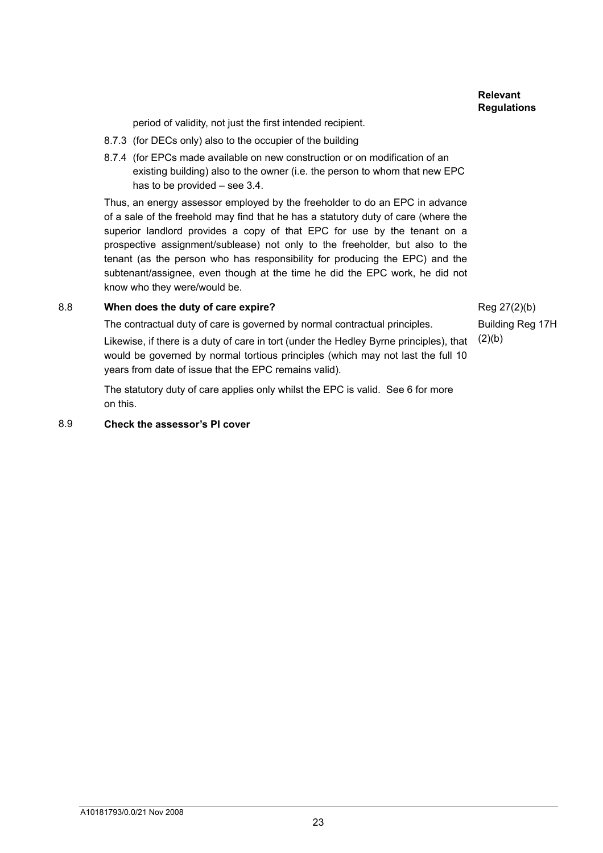period of validity, not just the first intended recipient.

- 8.7.3 (for DECs only) also to the occupier of the building
- 8.7.4 (for EPCs made available on new construction or on modification of an existing building) also to the owner (i.e. the person to whom that new EPC has to be provided – see 3.4.

Thus, an energy assessor employed by the freeholder to do an EPC in advance of a sale of the freehold may find that he has a statutory duty of care (where the superior landlord provides a copy of that EPC for use by the tenant on a prospective assignment/sublease) not only to the freeholder, but also to the tenant (as the person who has responsibility for producing the EPC) and the subtenant/assignee, even though at the time he did the EPC work, he did not know who they were/would be.

## 8.8 **When does the duty of care expire?**

The contractual duty of care is governed by normal contractual principles.

Likewise, if there is a duty of care in tort (under the Hedley Byrne principles), that would be governed by normal tortious principles (which may not last the full 10 years from date of issue that the EPC remains valid).

 The statutory duty of care applies only whilst the EPC is valid. See 6 for more on this.

#### 8.9 **Check the assessor's PI cover**

Reg 27(2)(b) Building Reg 17H

 $(2)(b)$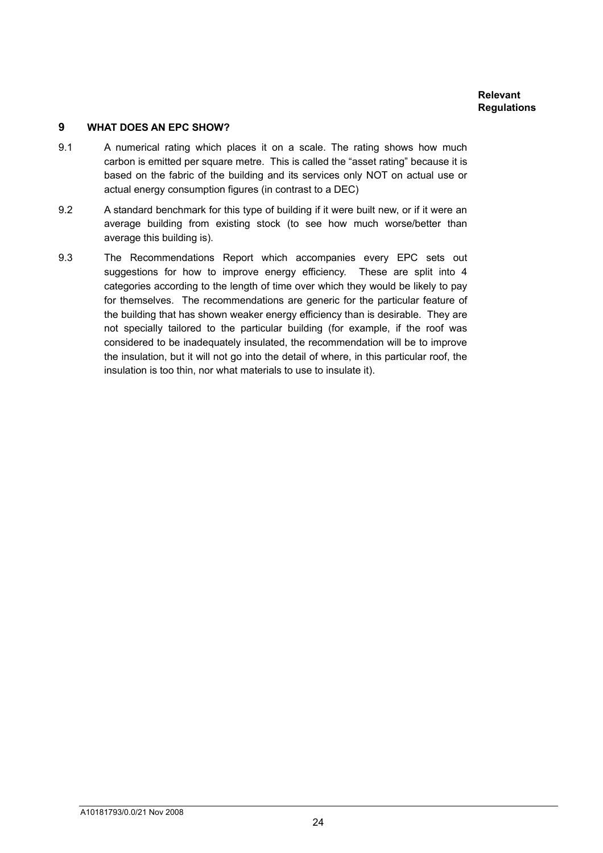## **9 WHAT DOES AN EPC SHOW?**

- 9.1 A numerical rating which places it on a scale. The rating shows how much carbon is emitted per square metre. This is called the "asset rating" because it is based on the fabric of the building and its services only NOT on actual use or actual energy consumption figures (in contrast to a DEC)
- 9.2 A standard benchmark for this type of building if it were built new, or if it were an average building from existing stock (to see how much worse/better than average this building is).
- 9.3 The Recommendations Report which accompanies every EPC sets out suggestions for how to improve energy efficiency. These are split into 4 categories according to the length of time over which they would be likely to pay for themselves. The recommendations are generic for the particular feature of the building that has shown weaker energy efficiency than is desirable. They are not specially tailored to the particular building (for example, if the roof was considered to be inadequately insulated, the recommendation will be to improve the insulation, but it will not go into the detail of where, in this particular roof, the insulation is too thin, nor what materials to use to insulate it).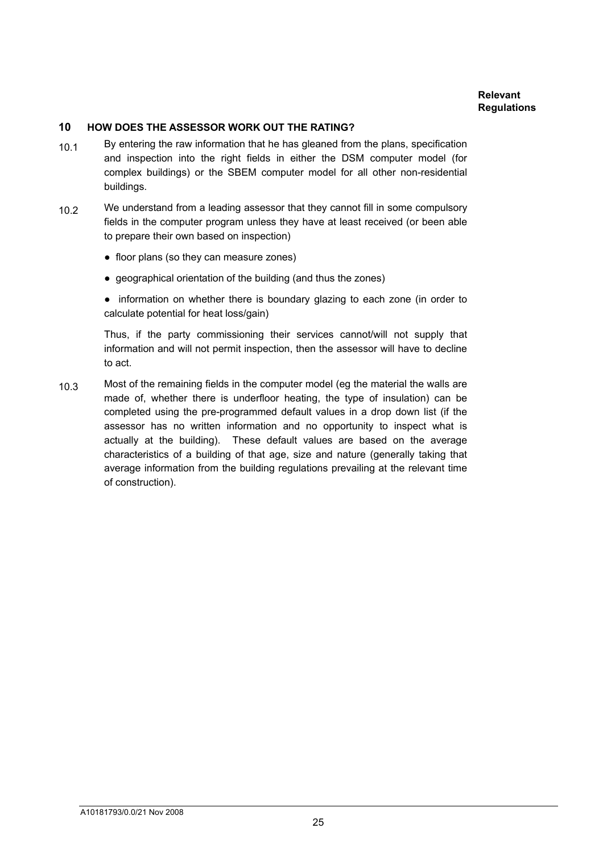## **10 HOW DOES THE ASSESSOR WORK OUT THE RATING?**

- $10.1$  By entering the raw information that he has gleaned from the plans, specification and inspection into the right fields in either the DSM computer model (for complex buildings) or the SBEM computer model for all other non-residential buildings.
- 10.2 We understand from a leading assessor that they cannot fill in some compulsory fields in the computer program unless they have at least received (or been able to prepare their own based on inspection)
	- floor plans (so they can measure zones)
	- geographical orientation of the building (and thus the zones)
	- information on whether there is boundary glazing to each zone (in order to calculate potential for heat loss/gain)

Thus, if the party commissioning their services cannot/will not supply that information and will not permit inspection, then the assessor will have to decline to act.

10.3 Most of the remaining fields in the computer model (eg the material the walls are made of, whether there is underfloor heating, the type of insulation) can be completed using the pre-programmed default values in a drop down list (if the assessor has no written information and no opportunity to inspect what is actually at the building). These default values are based on the average characteristics of a building of that age, size and nature (generally taking that average information from the building regulations prevailing at the relevant time of construction).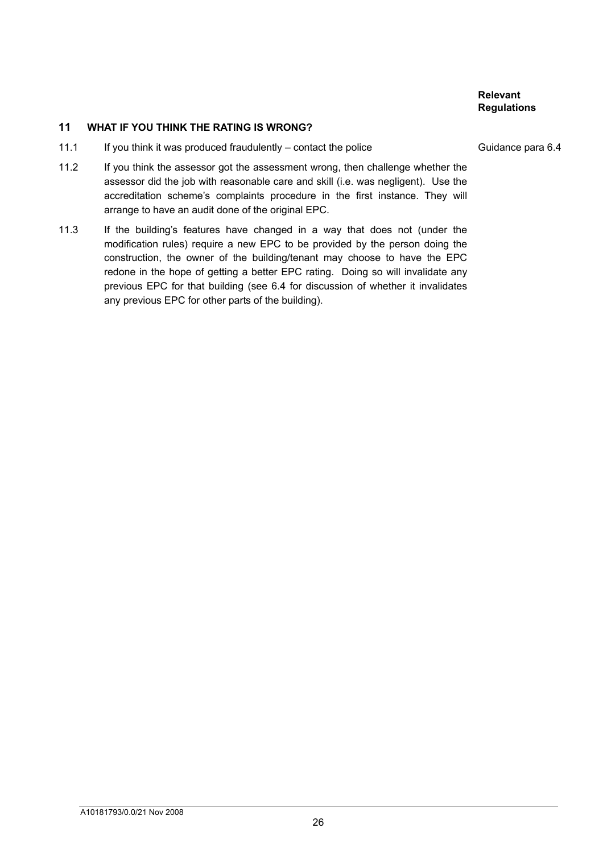26

## *Relevant* Relevant *Relevant Relevant* **Regulations**

## **11 WHAT IF YOU THINK THE RATING IS WRONG?**

- 11.1 If you think it was produced fraudulently contact the police Guidance para 6.4
- 11.2 If you think the assessor got the assessment wrong, then challenge whether the assessor did the job with reasonable care and skill (i.e. was negligent). Use the accreditation scheme's complaints procedure in the first instance. They will arrange to have an audit done of the original EPC.
- 11.3 If the building's features have changed in a way that does not (under the modification rules) require a new EPC to be provided by the person doing the construction, the owner of the building/tenant may choose to have the EPC redone in the hope of getting a better EPC rating. Doing so will invalidate any previous EPC for that building (see 6.4 for discussion of whether it invalidates any previous EPC for other parts of the building).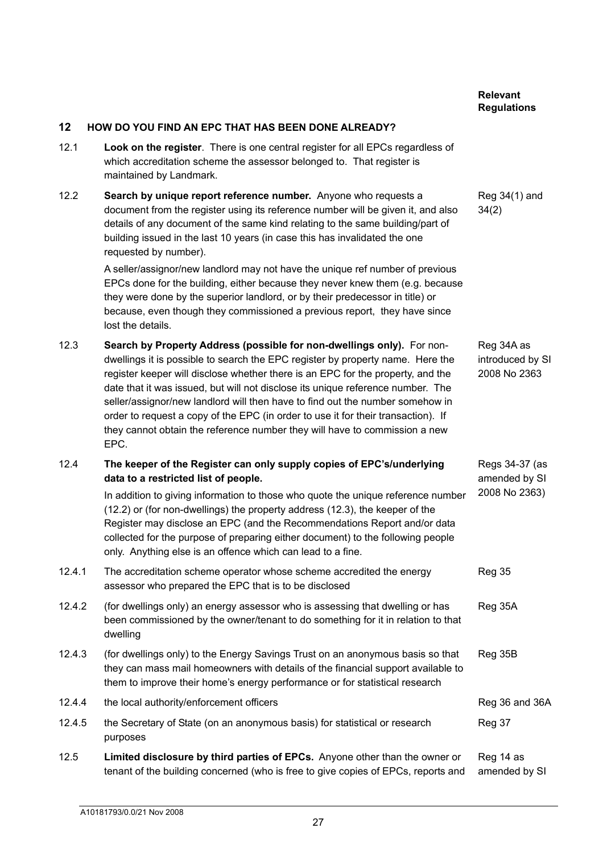|        |                                                                                                                                                                                                                                                                                                                                                                                                                                                                                                                                                                                            | <b>Relevant</b><br><b>Regulations</b>            |
|--------|--------------------------------------------------------------------------------------------------------------------------------------------------------------------------------------------------------------------------------------------------------------------------------------------------------------------------------------------------------------------------------------------------------------------------------------------------------------------------------------------------------------------------------------------------------------------------------------------|--------------------------------------------------|
| 12     | <b>HOW DO YOU FIND AN EPC THAT HAS BEEN DONE ALREADY?</b>                                                                                                                                                                                                                                                                                                                                                                                                                                                                                                                                  |                                                  |
| 12.1   | Look on the register. There is one central register for all EPCs regardless of<br>which accreditation scheme the assessor belonged to. That register is<br>maintained by Landmark.                                                                                                                                                                                                                                                                                                                                                                                                         |                                                  |
| 12.2   | Search by unique report reference number. Anyone who requests a<br>document from the register using its reference number will be given it, and also<br>details of any document of the same kind relating to the same building/part of<br>building issued in the last 10 years (in case this has invalidated the one<br>requested by number).                                                                                                                                                                                                                                               | Reg 34(1) and<br>34(2)                           |
|        | A seller/assignor/new landlord may not have the unique ref number of previous<br>EPCs done for the building, either because they never knew them (e.g. because<br>they were done by the superior landlord, or by their predecessor in title) or<br>because, even though they commissioned a previous report, they have since<br>lost the details.                                                                                                                                                                                                                                          |                                                  |
| 12.3   | Search by Property Address (possible for non-dwellings only). For non-<br>dwellings it is possible to search the EPC register by property name. Here the<br>register keeper will disclose whether there is an EPC for the property, and the<br>date that it was issued, but will not disclose its unique reference number. The<br>seller/assignor/new landlord will then have to find out the number somehow in<br>order to request a copy of the EPC (in order to use it for their transaction). If<br>they cannot obtain the reference number they will have to commission a new<br>EPC. | Reg 34A as<br>introduced by SI<br>2008 No 2363   |
| 12.4   | The keeper of the Register can only supply copies of EPC's/underlying<br>data to a restricted list of people.<br>In addition to giving information to those who quote the unique reference number<br>(12.2) or (for non-dwellings) the property address (12.3), the keeper of the<br>Register may disclose an EPC (and the Recommendations Report and/or data<br>collected for the purpose of preparing either document) to the following people<br>only. Anything else is an offence which can lead to a fine.                                                                            | Regs 34-37 (as<br>amended by SI<br>2008 No 2363) |
| 12.4.1 | The accreditation scheme operator whose scheme accredited the energy<br>assessor who prepared the EPC that is to be disclosed                                                                                                                                                                                                                                                                                                                                                                                                                                                              | <b>Reg 35</b>                                    |
| 12.4.2 | (for dwellings only) an energy assessor who is assessing that dwelling or has<br>been commissioned by the owner/tenant to do something for it in relation to that<br>dwelling                                                                                                                                                                                                                                                                                                                                                                                                              | Reg 35A                                          |
| 12.4.3 | (for dwellings only) to the Energy Savings Trust on an anonymous basis so that<br>they can mass mail homeowners with details of the financial support available to<br>them to improve their home's energy performance or for statistical research                                                                                                                                                                                                                                                                                                                                          | Reg 35B                                          |
| 12.4.4 | the local authority/enforcement officers                                                                                                                                                                                                                                                                                                                                                                                                                                                                                                                                                   | Reg 36 and 36A                                   |
| 12.4.5 | the Secretary of State (on an anonymous basis) for statistical or research<br>purposes                                                                                                                                                                                                                                                                                                                                                                                                                                                                                                     | <b>Reg 37</b>                                    |
| 12.5   | Limited disclosure by third parties of EPCs. Anyone other than the owner or<br>tenant of the building concerned (who is free to give copies of EPCs, reports and                                                                                                                                                                                                                                                                                                                                                                                                                           | Reg 14 as<br>amended by SI                       |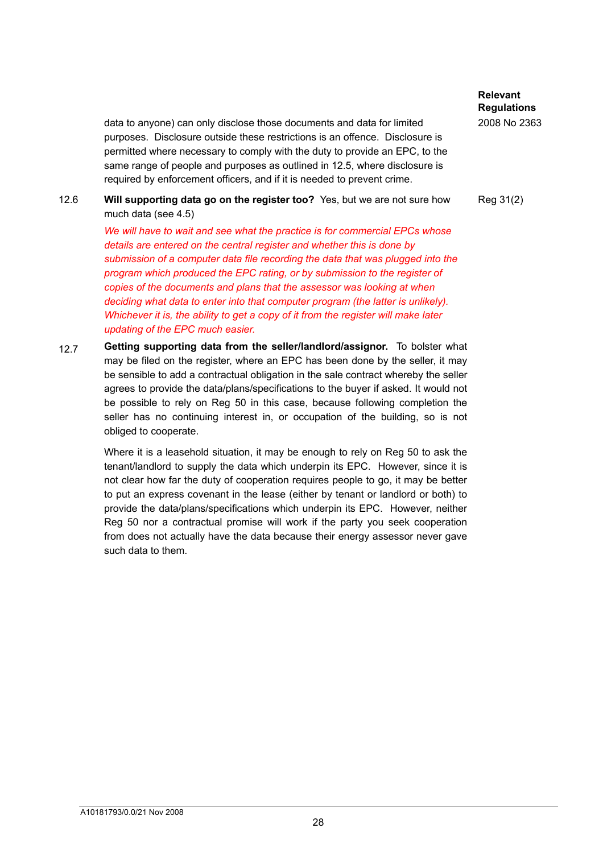data to anyone) can only disclose those documents and data for limited purposes. Disclosure outside these restrictions is an offence. Disclosure is permitted where necessary to comply with the duty to provide an EPC, to the same range of people and purposes as outlined in 12.5, where disclosure is required by enforcement officers, and if it is needed to prevent crime.

12.6 **Will supporting data go on the register too?** Yes, but we are not sure how much data (see 4.5)

> *We will have to wait and see what the practice is for commercial EPCs whose details are entered on the central register and whether this is done by submission of a computer data file recording the data that was plugged into the program which produced the EPC rating, or by submission to the register of copies of the documents and plans that the assessor was looking at when deciding what data to enter into that computer program (the latter is unlikely). Whichever it is, the ability to get a copy of it from the register will make later updating of the EPC much easier.*

12.7 **Getting supporting data from the seller/landlord/assignor.** To bolster what may be filed on the register, where an EPC has been done by the seller, it may be sensible to add a contractual obligation in the sale contract whereby the seller agrees to provide the data/plans/specifications to the buyer if asked. It would not be possible to rely on Reg 50 in this case, because following completion the seller has no continuing interest in, or occupation of the building, so is not obliged to cooperate.

> Where it is a leasehold situation, it may be enough to rely on Reg 50 to ask the tenant/landlord to supply the data which underpin its EPC. However, since it is not clear how far the duty of cooperation requires people to go, it may be better to put an express covenant in the lease (either by tenant or landlord or both) to provide the data/plans/specifications which underpin its EPC. However, neither Reg 50 nor a contractual promise will work if the party you seek cooperation from does not actually have the data because their energy assessor never gave such data to them.

*Relevant* Relevant *Relevant Relevant* **Regulations**  2008 No 2363

Reg 31(2)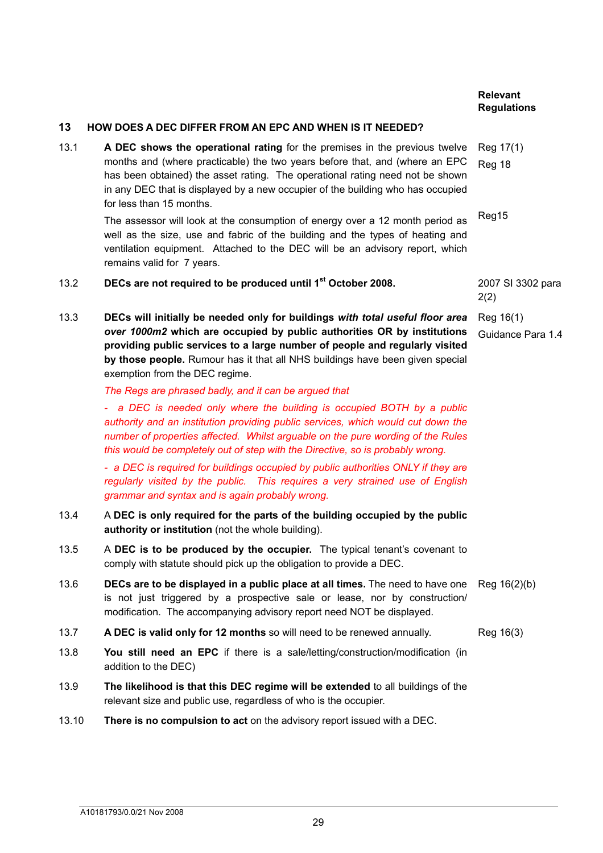2(2)

Reg 16(1)

Guidance Para 1.4

### **13 HOW DOES A DEC DIFFER FROM AN EPC AND WHEN IS IT NEEDED?**

13.1 **A DEC shows the operational rating** for the premises in the previous twelve months and (where practicable) the two years before that, and (where an EPC has been obtained) the asset rating. The operational rating need not be shown in any DEC that is displayed by a new occupier of the building who has occupied for less than 15 months. Reg 17(1) Reg 18

The assessor will look at the consumption of energy over a 12 month period as well as the size, use and fabric of the building and the types of heating and ventilation equipment. Attached to the DEC will be an advisory report, which remains valid for 7 years. Reg15

## 13.2 **DECs are not required to be produced until 1st October 2008.** 2007 SI 3302 para

13.3 **DECs will initially be needed only for buildings** *with total useful floor area over 1000m2* **which are occupied by public authorities OR by institutions providing public services to a large number of people and regularly visited by those people.** Rumour has it that all NHS buildings have been given special exemption from the DEC regime.

#### *The Regs are phrased badly, and it can be argued that*

*- a DEC is needed only where the building is occupied BOTH by a public authority and an institution providing public services, which would cut down the number of properties affected. Whilst arguable on the pure wording of the Rules this would be completely out of step with the Directive, so is probably wrong.* 

*- a DEC is required for buildings occupied by public authorities ONLY if they are regularly visited by the public. This requires a very strained use of English grammar and syntax and is again probably wrong.*

- 13.4 A **DEC is only required for the parts of the building occupied by the public authority or institution** (not the whole building).
- 13.5 A **DEC is to be produced by the occupier.** The typical tenant's covenant to comply with statute should pick up the obligation to provide a DEC.
- 13.6 **DECs are to be displayed in a public place at all times.** The need to have one is not just triggered by a prospective sale or lease, nor by construction/ modification. The accompanying advisory report need NOT be displayed. Reg 16(2)(b)
- 13.7 **A DEC is valid only for 12 months** so will need to be renewed annually. Reg 16(3)
- 13.8 **You still need an EPC** if there is a sale/letting/construction/modification (in addition to the DEC)
- 13.9 **The likelihood is that this DEC regime will be extended** to all buildings of the relevant size and public use, regardless of who is the occupier.
- 13.10 **There is no compulsion to act** on the advisory report issued with a DEC.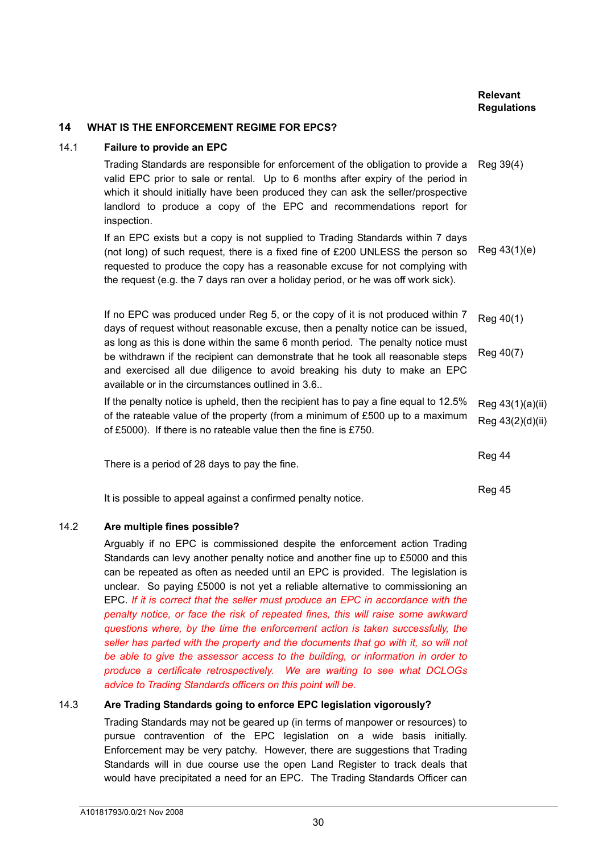#### **14 WHAT IS THE ENFORCEMENT REGIME FOR EPCS?**

## 14.1 **Failure to provide an EPC**

| Trading Standards are responsible for enforcement of the obligation to provide a<br>valid EPC prior to sale or rental. Up to 6 months after expiry of the period in<br>which it should initially have been produced they can ask the seller/prospective<br>landlord to produce a copy of the EPC and recommendations report for<br>inspection.                                                                                                                            | Reg 39(4)                            |
|---------------------------------------------------------------------------------------------------------------------------------------------------------------------------------------------------------------------------------------------------------------------------------------------------------------------------------------------------------------------------------------------------------------------------------------------------------------------------|--------------------------------------|
| If an EPC exists but a copy is not supplied to Trading Standards within 7 days<br>(not long) of such request, there is a fixed fine of £200 UNLESS the person so<br>requested to produce the copy has a reasonable excuse for not complying with<br>the request (e.g. the 7 days ran over a holiday period, or he was off work sick).                                                                                                                                     | Reg 43(1)(e)                         |
| If no EPC was produced under Reg 5, or the copy of it is not produced within 7<br>days of request without reasonable excuse, then a penalty notice can be issued,<br>as long as this is done within the same 6 month period. The penalty notice must<br>be withdrawn if the recipient can demonstrate that he took all reasonable steps<br>and exercised all due diligence to avoid breaking his duty to make an EPC<br>available or in the circumstances outlined in 3.6 | Reg 40(1)<br>Reg 40(7)               |
| If the penalty notice is upheld, then the recipient has to pay a fine equal to 12.5%<br>of the rateable value of the property (from a minimum of £500 up to a maximum<br>of £5000). If there is no rateable value then the fine is £750.                                                                                                                                                                                                                                  | Reg 43(1)(a)(ii)<br>Reg 43(2)(d)(ii) |
| There is a period of 28 days to pay the fine.                                                                                                                                                                                                                                                                                                                                                                                                                             | Reg 44                               |
| It is possible to appeal against a confirmed penalty notice.                                                                                                                                                                                                                                                                                                                                                                                                              | <b>Reg 45</b>                        |

## 14.2 **Are multiple fines possible?**

Arguably if no EPC is commissioned despite the enforcement action Trading Standards can levy another penalty notice and another fine up to £5000 and this can be repeated as often as needed until an EPC is provided. The legislation is unclear. So paying £5000 is not yet a reliable alternative to commissioning an EPC. *If it is correct that the seller must produce an EPC in accordance with the penalty notice, or face the risk of repeated fines, this will raise some awkward questions where, by the time the enforcement action is taken successfully, the seller has parted with the property and the documents that go with it, so will not be able to give the assessor access to the building, or information in order to produce a certificate retrospectively. We are waiting to see what DCLOGs advice to Trading Standards officers on this point will be.*

## 14.3 **Are Trading Standards going to enforce EPC legislation vigorously?**

Trading Standards may not be geared up (in terms of manpower or resources) to pursue contravention of the EPC legislation on a wide basis initially. Enforcement may be very patchy. However, there are suggestions that Trading Standards will in due course use the open Land Register to track deals that would have precipitated a need for an EPC. The Trading Standards Officer can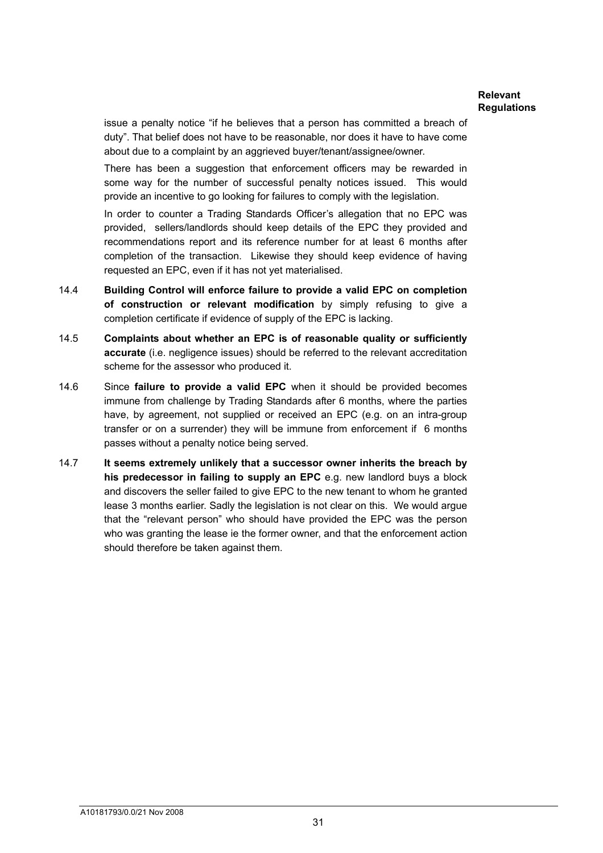issue a penalty notice "if he believes that a person has committed a breach of duty". That belief does not have to be reasonable, nor does it have to have come about due to a complaint by an aggrieved buyer/tenant/assignee/owner.

There has been a suggestion that enforcement officers may be rewarded in some way for the number of successful penalty notices issued. This would provide an incentive to go looking for failures to comply with the legislation.

In order to counter a Trading Standards Officer's allegation that no EPC was provided, sellers/landlords should keep details of the EPC they provided and recommendations report and its reference number for at least 6 months after completion of the transaction. Likewise they should keep evidence of having requested an EPC, even if it has not yet materialised.

- 14.4 **Building Control will enforce failure to provide a valid EPC on completion of construction or relevant modification** by simply refusing to give a completion certificate if evidence of supply of the EPC is lacking.
- 14.5 **Complaints about whether an EPC is of reasonable quality or sufficiently accurate** (i.e. negligence issues) should be referred to the relevant accreditation scheme for the assessor who produced it.
- 14.6 Since **failure to provide a valid EPC** when it should be provided becomes immune from challenge by Trading Standards after 6 months, where the parties have, by agreement, not supplied or received an EPC (e.g. on an intra-group transfer or on a surrender) they will be immune from enforcement if 6 months passes without a penalty notice being served.
- 14.7 **It seems extremely unlikely that a successor owner inherits the breach by his predecessor in failing to supply an EPC** e.g. new landlord buys a block and discovers the seller failed to give EPC to the new tenant to whom he granted lease 3 months earlier. Sadly the legislation is not clear on this. We would argue that the "relevant person" who should have provided the EPC was the person who was granting the lease ie the former owner, and that the enforcement action should therefore be taken against them.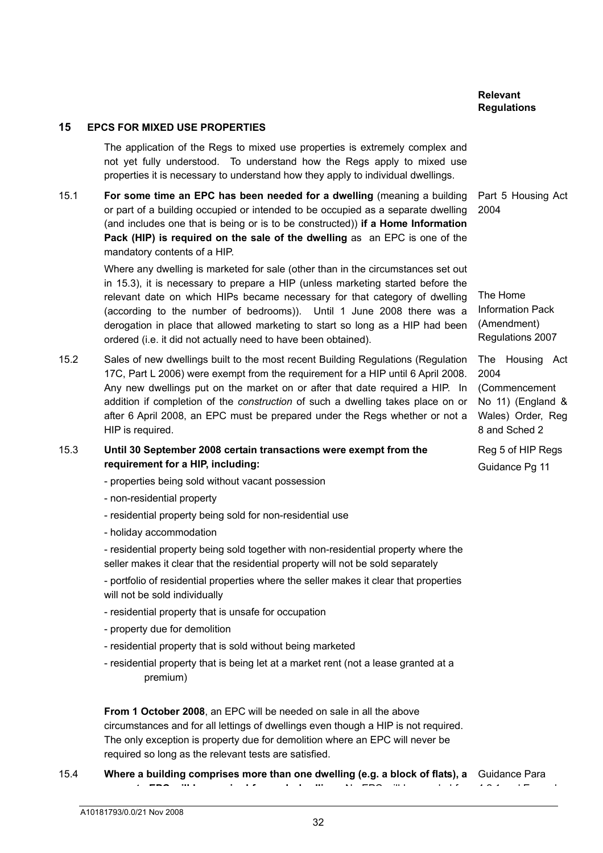#### **15 EPCS FOR MIXED USE PROPERTIES**

 The application of the Regs to mixed use properties is extremely complex and not yet fully understood. To understand how the Regs apply to mixed use properties it is necessary to understand how they apply to individual dwellings.

15.1 **For some time an EPC has been needed for a dwelling** (meaning a building or part of a building occupied or intended to be occupied as a separate dwelling (and includes one that is being or is to be constructed)) **if a Home Information Pack (HIP) is required on the sale of the dwelling** as an EPC is one of the mandatory contents of a HIP. Part 5 Housing Act 2004

Where any dwelling is marketed for sale (other than in the circumstances set out in 15.3), it is necessary to prepare a HIP (unless marketing started before the relevant date on which HIPs became necessary for that category of dwelling (according to the number of bedrooms)). Until 1 June 2008 there was a derogation in place that allowed marketing to start so long as a HIP had been ordered (i.e. it did not actually need to have been obtained).

15.2 Sales of new dwellings built to the most recent Building Regulations (Regulation 17C, Part L 2006) were exempt from the requirement for a HIP until 6 April 2008. Any new dwellings put on the market on or after that date required a HIP. In addition if completion of the *construction* of such a dwelling takes place on or after 6 April 2008, an EPC must be prepared under the Regs whether or not a HIP is required.

## 15.3 **Until 30 September 2008 certain transactions were exempt from the requirement for a HIP, including:**

- properties being sold without vacant possession
- non-residential property
- residential property being sold for non-residential use
- holiday accommodation
- residential property being sold together with non-residential property where the seller makes it clear that the residential property will not be sold separately
- portfolio of residential properties where the seller makes it clear that properties will not be sold individually
- residential property that is unsafe for occupation
- property due for demolition
- residential property that is sold without being marketed
- residential property that is being let at a market rent (not a lease granted at a premium)

**From 1 October 2008**, an EPC will be needed on sale in all the above circumstances and for all lettings of dwellings even though a HIP is not required. The only exception is property due for demolition where an EPC will never be required so long as the relevant tests are satisfied.

15.4 **Where a building comprises more than one dwelling (e.g. a block of flats), a**  Guidance Para

**t EPC ill b i d f h d lli** N EPC ill b d d f

Information Pack (Amendment) Regulations 2007 The Housing Act 2004 (Commencement No 11) (England & Wales) Order, Reg 8 and Sched 2 Reg 5 of HIP Regs

The Home

Guidance Pg 11

421 dE la 1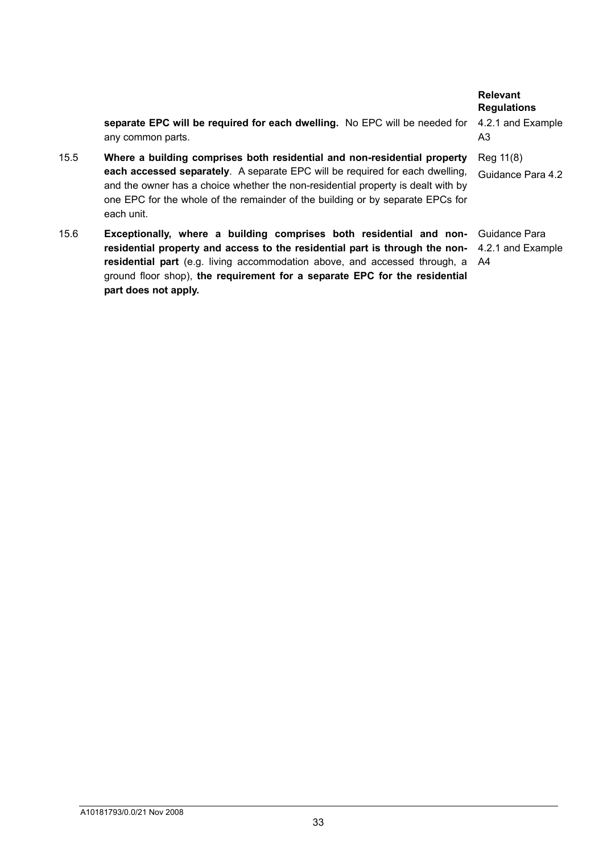|      | separate EPC will be required for each dwelling. No EPC will be needed for<br>any common parts.                                                                                                                                                                                                                                                   | <b>Relevant</b><br><b>Regulations</b><br>4.2.1 and Example<br>A3 |
|------|---------------------------------------------------------------------------------------------------------------------------------------------------------------------------------------------------------------------------------------------------------------------------------------------------------------------------------------------------|------------------------------------------------------------------|
| 15.5 | Where a building comprises both residential and non-residential property<br>each accessed separately. A separate EPC will be required for each dwelling,<br>and the owner has a choice whether the non-residential property is dealt with by<br>one EPC for the whole of the remainder of the building or by separate EPCs for<br>each unit.      | Reg 11(8)<br>Guidance Para 4.2                                   |
| 15.6 | Exceptionally, where a building comprises both residential and non- Guidance Para<br>residential property and access to the residential part is through the non- 4.2.1 and Example<br>residential part (e.g. living accommodation above, and accessed through, a A4<br>ground floor shop), the requirement for a separate EPC for the residential |                                                                  |

**part does not apply.**